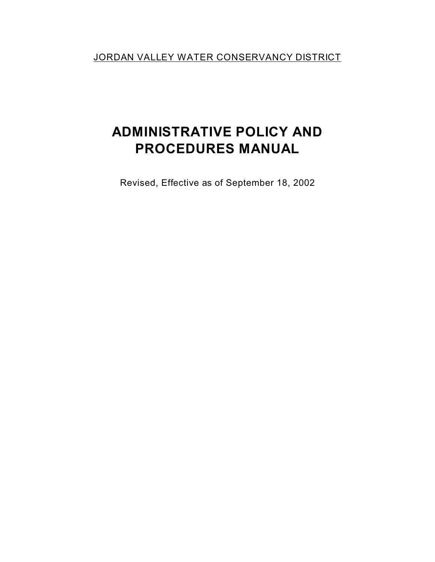JORDAN VALLEY WATER CONSERVANCY DISTRICT

# **ADMINISTRATIVE POLICY AND PROCEDURES MANUAL**

Revised, Effective as of September 18, 2002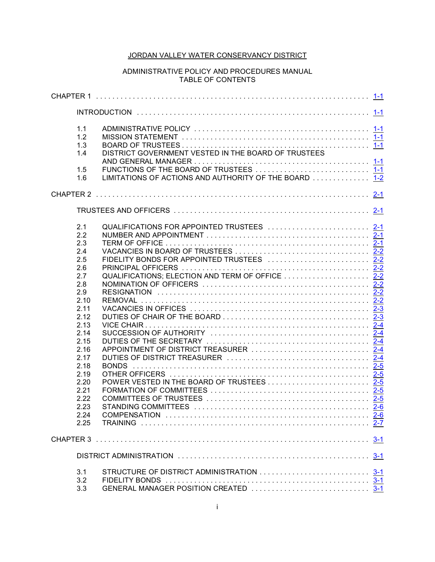# JORDAN VALLEY WATER CONSERVANCY DISTRICT

# ADMINISTRATIVE POLICY AND PROCEDURES MANUAL TABLE OF CONTENTS

|  | 1.1<br>1.2<br>1.3<br>1.4     | DISTRICT GOVERNMENT VESTED IN THE BOARD OF TRUSTEES                                               |  |
|--|------------------------------|---------------------------------------------------------------------------------------------------|--|
|  | 1.5<br>1.6                   | FUNCTIONS OF THE BOARD OF TRUSTEES  1-1<br>LIMITATIONS OF ACTIONS AND AUTHORITY OF THE BOARD  1-2 |  |
|  |                              |                                                                                                   |  |
|  |                              |                                                                                                   |  |
|  | 2.1<br>2.2                   | QUALIFICATIONS FOR APPOINTED TRUSTEES  2-1                                                        |  |
|  | 2.3<br>2.4<br>2.5            | FIDELITY BONDS FOR APPOINTED TRUSTEES  2-2                                                        |  |
|  | 2.6<br>2.7<br>2.8            | QUALIFICATIONS; ELECTION AND TERM OF OFFICE  2-2                                                  |  |
|  | 2.9<br>2.10<br>2.11          |                                                                                                   |  |
|  | 2.12<br>2.13<br>2.14<br>2.15 |                                                                                                   |  |
|  | 2.16<br>2.17<br>2.18         | APPOINTMENT OF DISTRICT TREASURER  2-4                                                            |  |
|  | 2.19<br>2.20<br>2.21         |                                                                                                   |  |
|  | 2.22<br>2.23<br>2.24         |                                                                                                   |  |
|  | 2.25                         |                                                                                                   |  |
|  |                              |                                                                                                   |  |
|  |                              |                                                                                                   |  |
|  | 3.1<br>3.2<br>3.3            | STRUCTURE OF DISTRICT ADMINISTRATION  3-1                                                         |  |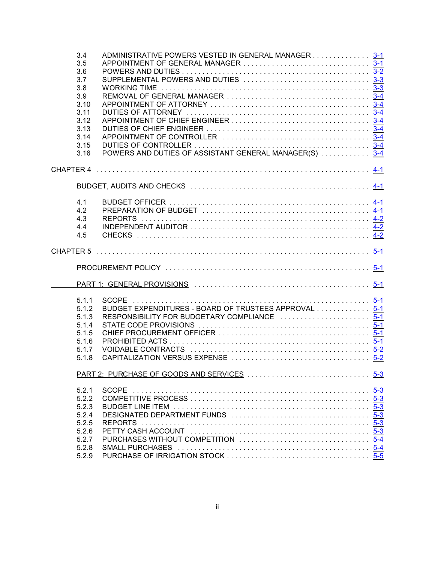| 3.4<br>3.5 | ADMINISTRATIVE POWERS VESTED IN GENERAL MANAGER 3-1    |  |
|------------|--------------------------------------------------------|--|
| 3.6        |                                                        |  |
| 3.7        |                                                        |  |
|            |                                                        |  |
| 3.8        |                                                        |  |
| 3.9        |                                                        |  |
| 3.10       |                                                        |  |
| 3.11       |                                                        |  |
| 3.12       |                                                        |  |
| 3.13       |                                                        |  |
| 3.14       |                                                        |  |
| 3.15       |                                                        |  |
| 3.16       | POWERS AND DUTIES OF ASSISTANT GENERAL MANAGER(S)  3-4 |  |
|            |                                                        |  |
|            |                                                        |  |
|            |                                                        |  |
| 4.1        |                                                        |  |
| 4.2        |                                                        |  |
| 4.3        |                                                        |  |
| 4.4        |                                                        |  |
| 4.5        |                                                        |  |
|            |                                                        |  |
|            |                                                        |  |
|            |                                                        |  |
|            |                                                        |  |
| 5.1.1      |                                                        |  |
| 5.1.2      | BUDGET EXPENDITURES - BOARD OF TRUSTEES APPROVAL 5-1   |  |
| 5.1.3      | RESPONSIBILITY FOR BUDGETARY COMPLIANCE  5-1           |  |
| 5.1.4      |                                                        |  |
| 5.1.5      |                                                        |  |
| 5.1.6      |                                                        |  |
| 5.1.7      |                                                        |  |
| 5.1.8      |                                                        |  |
|            |                                                        |  |
|            |                                                        |  |
| 5.2.1      | <b>SCOPE</b>                                           |  |
| 5.2.2      |                                                        |  |
| 5.2.3      |                                                        |  |
| 5.2.4      |                                                        |  |
| 5.2.5      |                                                        |  |
| 5.2.6      |                                                        |  |
| 5.2.7      |                                                        |  |
| 5.2.8      |                                                        |  |
| 5.2.9      |                                                        |  |
|            |                                                        |  |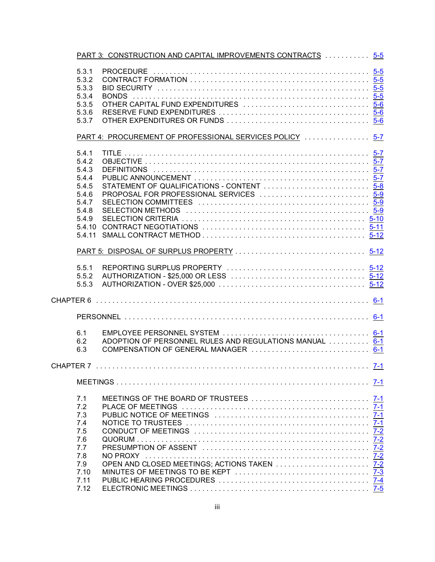|           |        | PART 3: CONSTRUCTION AND CAPITAL IMPROVEMENTS CONTRACTS  5-5 |         |
|-----------|--------|--------------------------------------------------------------|---------|
|           | 5.3.1  |                                                              |         |
|           | 5.3.2  |                                                              |         |
|           | 5.3.3  |                                                              |         |
|           | 5.3.4  |                                                              |         |
|           | 5.3.5  | OTHER CAPITAL FUND EXPENDITURES  5-6                         |         |
|           | 5.3.6  |                                                              |         |
|           | 5.3.7  |                                                              |         |
|           |        | PART 4: PROCUREMENT OF PROFESSIONAL SERVICES POLICY  5-7     |         |
|           | 5.4.1  |                                                              |         |
|           | 5.4.2  |                                                              |         |
|           | 5.4.3  |                                                              |         |
|           | 5.4.4  |                                                              |         |
|           | 5.4.5  | STATEMENT OF QUALIFICATIONS - CONTENT  5-8                   |         |
|           | 5.4.6  | PROPOSAL FOR PROFESSIONAL SERVICES  5-9                      |         |
|           | 5.4.7  |                                                              |         |
|           | 5.4.8  |                                                              |         |
|           | 5.4.9  |                                                              |         |
|           | 5.4.10 |                                                              |         |
|           | 5.4.11 |                                                              |         |
|           |        |                                                              |         |
|           |        |                                                              |         |
|           | 5.5.1  |                                                              |         |
|           | 5.5.2  |                                                              |         |
|           | 5.5.3  |                                                              |         |
|           |        |                                                              |         |
|           |        |                                                              |         |
|           |        |                                                              |         |
|           |        |                                                              |         |
|           | 6.1    |                                                              |         |
|           | 6.2    | ADOPTION OF PERSONNEL RULES AND REGULATIONS MANUAL  6-1      |         |
|           | 6.3    |                                                              |         |
| CHAPTER 7 |        |                                                              | $7 - 1$ |
|           |        |                                                              |         |
|           | 7.1    |                                                              |         |
|           | 7.2    |                                                              |         |
|           | 7.3    |                                                              |         |
|           | 7.4    |                                                              |         |
|           | 7.5    |                                                              |         |
|           | 7.6    |                                                              |         |
|           | 7.7    |                                                              |         |
|           | 7.8    |                                                              |         |
|           | 7.9    |                                                              |         |
|           | 7.10   |                                                              |         |
|           | 7.11   |                                                              |         |
|           | 7.12   |                                                              |         |
|           |        |                                                              |         |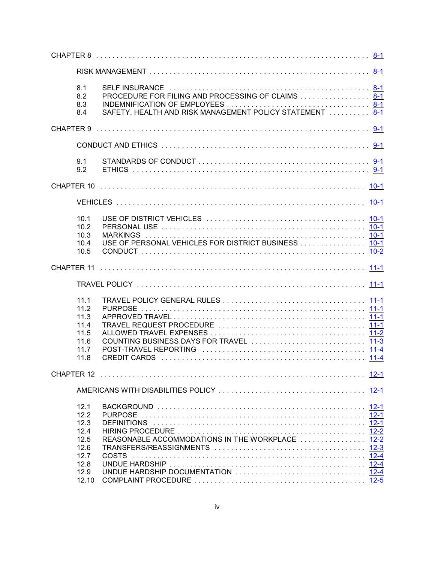| 8.1 | 8.2<br>8.3<br>8.4                                                             | PROCEDURE FOR FILING AND PROCESSING OF CLAIMS  8-1<br>SAFETY, HEALTH AND RISK MANAGEMENT POLICY STATEMENT  8-1 |  |
|-----|-------------------------------------------------------------------------------|----------------------------------------------------------------------------------------------------------------|--|
|     |                                                                               |                                                                                                                |  |
|     |                                                                               |                                                                                                                |  |
|     | 9.1<br>9.2                                                                    |                                                                                                                |  |
|     |                                                                               |                                                                                                                |  |
|     |                                                                               |                                                                                                                |  |
|     | 10.1<br>10.2<br>10.3<br>10.4<br>10.5                                          | USE OF PERSONAL VEHICLES FOR DISTRICT BUSINESS  10-1                                                           |  |
|     |                                                                               |                                                                                                                |  |
|     |                                                                               |                                                                                                                |  |
|     | 11.1<br>11.2<br>11.3<br>11.4<br>11.5<br>11.6<br>11.7<br>11.8                  | COUNTING BUSINESS DAYS FOR TRAVEL  11-3                                                                        |  |
|     |                                                                               |                                                                                                                |  |
|     |                                                                               |                                                                                                                |  |
|     | 12.1<br>12.2<br>12.3<br>12.4<br>12.5<br>12.6<br>12.7<br>12.8<br>12.9<br>12.10 | <b>COSTS</b>                                                                                                   |  |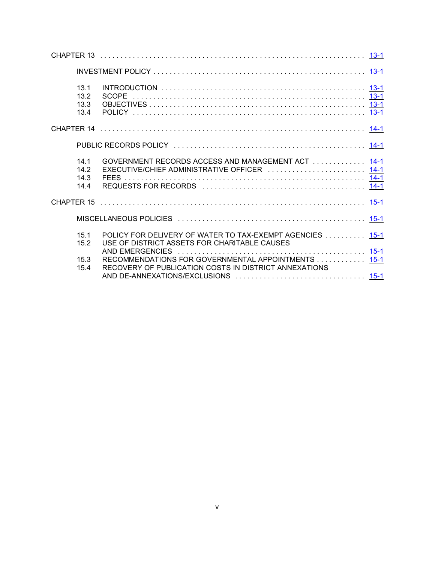| 13.1<br>13.2<br>13.3<br>13.4 |                                                                                                             |  |
|------------------------------|-------------------------------------------------------------------------------------------------------------|--|
|                              |                                                                                                             |  |
|                              |                                                                                                             |  |
| 14.1<br>14.2<br>14.3<br>14.4 | GOVERNMENT RECORDS ACCESS AND MANAGEMENT ACT  14-1<br>EXECUTIVE/CHIEF ADMINISTRATIVE OFFICER  14-1          |  |
|                              |                                                                                                             |  |
|                              |                                                                                                             |  |
| 15.1<br>15.2                 | POLICY FOR DELIVERY OF WATER TO TAX-EXEMPT AGENCIES 15-1<br>USE OF DISTRICT ASSETS FOR CHARITABLE CAUSES    |  |
| 15.3<br>154                  | RECOMMENDATIONS FOR GOVERNMENTAL APPOINTMENTS 15-1<br>RECOVERY OF PUBLICATION COSTS IN DISTRICT ANNEXATIONS |  |
|                              |                                                                                                             |  |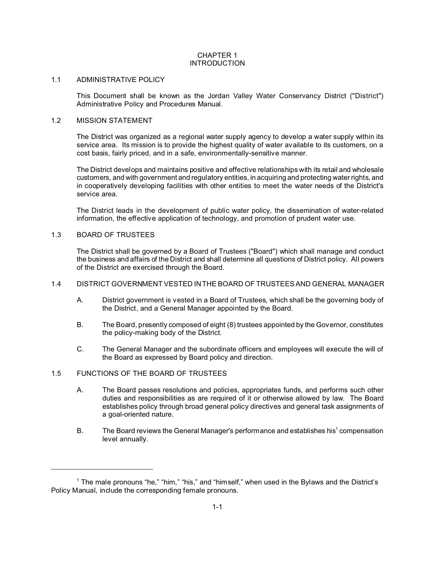# CHAPTER 1 INTRODUCTION

#### 1.1 ADMINISTRATIVE POLICY

This Document shall be known as the Jordan Valley Water Conservancy District ("District") Administrative Policy and Procedures Manual.

#### 1.2 MISSION STATEMENT

The District was organized as a regional water supply agency to develop a water supply within its service area. Its mission is to provide the highest quality of water available to its customers, on a cost basis, fairly priced, and in a safe, environmentally-sensitive manner.

The District develops and maintains positive and effective relationships with its retail and wholesale customers, and with government and regulatory entities, in acquiring and protecting water rights, and in cooperatively developing facilities with other entities to meet the water needs of the District's service area.

The District leads in the development of public water policy, the dissemination of water-related information, the effective application of technology, and promotion of prudent water use.

# 1.3 BOARD OF TRUSTEES

The District shall be governed by a Board of Trustees ("Board") which shall manage and conduct the business and affairs of the District and shall determine all questions of District policy. All powers of the District are exercised through the Board.

# 1.4 DISTRICT GOVERNMENT VESTED IN THE BOARD OF TRUSTEES AND GENERAL MANAGER

- A. District government is vested in a Board of Trustees, which shall be the governing body of the District, and a General Manager appointed by the Board.
- B. The Board, presently composed of eight (8) trustees appointed by the Governor, constitutes the policy-making body of the District.
- C. The General Manager and the subordinate officers and employees will execute the will of the Board as expressed by Board policy and direction.

# 1.5 FUNCTIONS OF THE BOARD OF TRUSTEES

- A. The Board passes resolutions and policies, appropriates funds, and performs such other duties and responsibilities as are required of it or otherwise allowed by law. The Board establishes policy through broad general policy directives and general task assignments of a goal-oriented nature.
- B. The Board reviews the General Manager's performance and establishes his<sup>1</sup> compensation level annually.

<sup>&</sup>lt;sup>1</sup> The male pronouns "he," "him," "his," and "himself," when used in the Bylaws and the District's Policy Manual, include the corresponding female pronouns.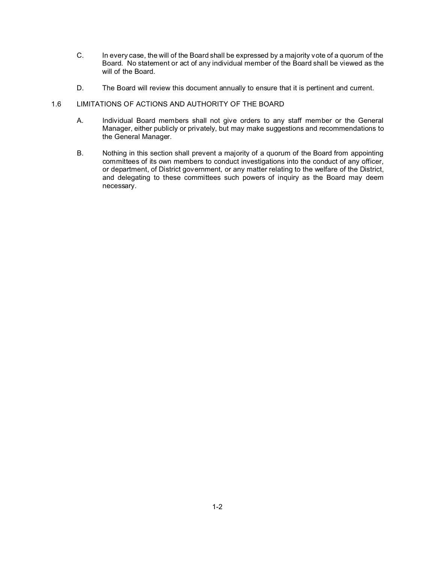- C. In every case, the will of the Board shall be expressed by a majority vote of a quorum of the Board. No statement or act of any individual member of the Board shall be viewed as the will of the Board.
- D. The Board will review this document annually to ensure that it is pertinent and current.

# 1.6 LIMITATIONS OF ACTIONS AND AUTHORITY OF THE BOARD

- A. Individual Board members shall not give orders to any staff member or the General Manager, either publicly or privately, but may make suggestions and recommendations to the General Manager.
- B. Nothing in this section shall prevent a majority of a quorum of the Board from appointing committees of its own members to conduct investigations into the conduct of any officer, or department, of District government, or any matter relating to the welfare of the District, and delegating to these committees such powers of inquiry as the Board may deem necessary.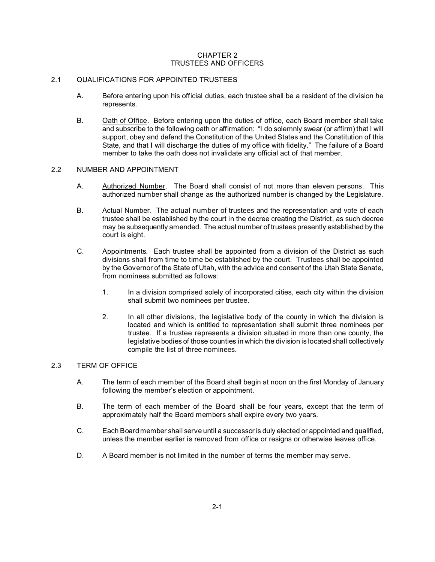# CHAPTER 2 TRUSTEES AND OFFICERS

# 2.1 QUALIFICATIONS FOR APPOINTED TRUSTEES

- A. Before entering upon his official duties, each trustee shall be a resident of the division he represents.
- B. Oath of Office. Before entering upon the duties of office, each Board member shall take and subscribe to the following oath or affirmation: "I do solemnly swear (or affirm) that I will support, obey and defend the Constitution of the United States and the Constitution of this State, and that I will discharge the duties of my office with fidelity." The failure of a Board member to take the oath does not invalidate any official act of that member.

#### 2.2 NUMBER AND APPOINTMENT

- A. Authorized Number. The Board shall consist of not more than eleven persons. This authorized number shall change as the authorized number is changed by the Legislature.
- B. Actual Number. The actual number of trustees and the representation and vote of each trustee shall be established by the court in the decree creating the District, as such decree may be subsequently amended. The actual number of trustees presently established by the court is eight.
- C. Appointments. Each trustee shall be appointed from a division of the District as such divisions shall from time to time be established by the court. Trustees shall be appointed by the Governor of the State of Utah, with the advice and consent of the Utah State Senate, from nominees submitted as follows:
	- 1. In a division comprised solely of incorporated cities, each city within the division shall submit two nominees per trustee.
	- 2. In all other divisions, the legislative body of the county in which the division is located and which is entitled to representation shall submit three nominees per trustee. If a trustee represents a division situated in more than one county, the legislative bodies of those counties in which the division is located shall collectively compile the list of three nominees.

#### 2.3 TERM OF OFFICE

- A. The term of each member of the Board shall begin at noon on the first Monday of January following the member's election or appointment.
- B. The term of each member of the Board shall be four years, except that the term of approximately half the Board members shall expire every two years.
- C. Each Board member shall serve until a successor is duly elected or appointed and qualified, unless the member earlier is removed from office or resigns or otherwise leaves office.
- D. A Board member is not limited in the number of terms the member may serve.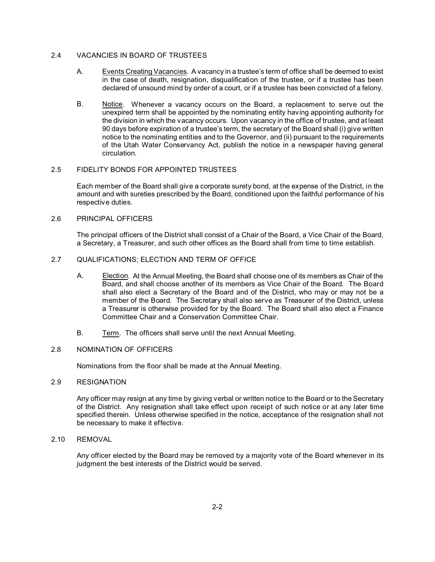# 2.4 VACANCIES IN BOARD OF TRUSTEES

- A. Events Creating Vacancies. A vacancy in a trustee's term of office shall be deemed to exist in the case of death, resignation, disqualification of the trustee, or if a trustee has been declared of unsound mind by order of a court, or if a trustee has been convicted of a felony.
- B. Notice. Whenever a vacancy occurs on the Board, a replacement to serve out the unexpired term shall be appointed by the nominating entity having appointing authority for the division in which the vacancy occurs. Upon vacancy in the office of trustee, and at least 90 days before expiration of a trustee's term, the secretary of the Board shall (i) give written notice to the nominating entities and to the Governor, and (ii) pursuant to the requirements of the Utah Water Conservancy Act, publish the notice in a newspaper having general circulation.

# 2.5 FIDELITY BONDS FOR APPOINTED TRUSTEES

Each member of the Board shall give a corporate surety bond, at the expense of the District, in the amount and with sureties prescribed by the Board, conditioned upon the faithful performance of his respective duties.

# 2.6 PRINCIPAL OFFICERS

The principal officers of the District shall consist of a Chair of the Board, a Vice Chair of the Board, a Secretary, a Treasurer, and such other offices as the Board shall from time to time establish.

# 2.7 QUALIFICATIONS; ELECTION AND TERM OF OFFICE

- A. Election. At the Annual Meeting, the Board shall choose one of its members as Chair of the Board, and shall choose another of its members as Vice Chair of the Board. The Board shall also elect a Secretary of the Board and of the District, who may or may not be a member of the Board. The Secretary shall also serve as Treasurer of the District, unless a Treasurer is otherwise provided for by the Board. The Board shall also elect a Finance Committee Chair and a Conservation Committee Chair.
- B. Term. The officers shall serve until the next Annual Meeting.

# 2.8 NOMINATION OF OFFICERS

Nominations from the floor shall be made at the Annual Meeting.

# 2.9 RESIGNATION

Any officer may resign at any time by giving verbal or written notice to the Board or to the Secretary of the District. Any resignation shall take effect upon receipt of such notice or at any later time specified therein. Unless otherwise specified in the notice, acceptance of the resignation shall not be necessary to make it effective.

# 2.10 REMOVAL

Any officer elected by the Board may be removed by a majority vote of the Board whenever in its judgment the best interests of the District would be served.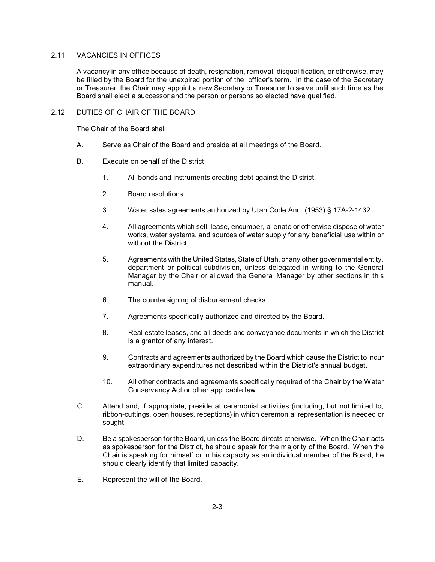# 2.11 VACANCIES IN OFFICES

A vacancy in any office because of death, resignation, removal, disqualification, or otherwise, may be filled by the Board for the unexpired portion of the officer's term. In the case of the Secretary or Treasurer, the Chair may appoint a new Secretary or Treasurer to serve until such time as the Board shall elect a successor and the person or persons so elected have qualified.

# 2.12 DUTIES OF CHAIR OF THE BOARD

The Chair of the Board shall:

- A. Serve as Chair of the Board and preside at all meetings of the Board.
- B. Execute on behalf of the District:
	- 1. All bonds and instruments creating debt against the District.
	- 2. Board resolutions.
	- 3. Water sales agreements authorized by Utah Code Ann. (1953) § 17A-2-1432.
	- 4. All agreements which sell, lease, encumber, alienate or otherwise dispose of water works, water systems, and sources of water supply for any beneficial use within or without the District.
	- 5. Agreements with the United States, State of Utah, or any other governmental entity, department or political subdivision, unless delegated in writing to the General Manager by the Chair or allowed the General Manager by other sections in this manual.
	- 6. The countersigning of disbursement checks.
	- 7. Agreements specifically authorized and directed by the Board.
	- 8. Real estate leases, and all deeds and conveyance documents in which the District is a grantor of any interest.
	- 9. Contracts and agreements authorized by the Board which cause the District to incur extraordinary expenditures not described within the District's annual budget.
	- 10. All other contracts and agreements specifically required of the Chair by the Water Conservancy Act or other applicable law.
- C. Attend and, if appropriate, preside at ceremonial activities (including, but not limited to, ribbon-cuttings, open houses, receptions) in which ceremonial representation is needed or sought.
- D. Be a spokesperson for the Board, unless the Board directs otherwise. When the Chair acts as spokesperson for the District, he should speak for the majority of the Board. When the Chair is speaking for himself or in his capacity as an individual member of the Board, he should clearly identify that limited capacity.
- E. Represent the will of the Board.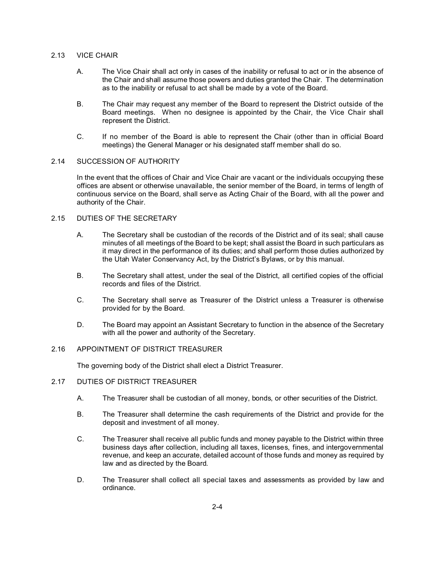# 2.13 VICE CHAIR

- A. The Vice Chair shall act only in cases of the inability or refusal to act or in the absence of the Chair and shall assume those powers and duties granted the Chair. The determination as to the inability or refusal to act shall be made by a vote of the Board.
- B. The Chair may request any member of the Board to represent the District outside of the Board meetings. When no designee is appointed by the Chair, the Vice Chair shall represent the District.
- C. If no member of the Board is able to represent the Chair (other than in official Board meetings) the General Manager or his designated staff member shall do so.

# 2.14 SUCCESSION OF AUTHORITY

In the event that the offices of Chair and Vice Chair are vacant or the individuals occupying these offices are absent or otherwise unavailable, the senior member of the Board, in terms of length of continuous service on the Board, shall serve as Acting Chair of the Board, with all the power and authority of the Chair.

# 2.15 DUTIES OF THE SECRETARY

- A. The Secretary shall be custodian of the records of the District and of its seal; shall cause minutes of all meetings of the Board to be kept; shall assist the Board in such particulars as it may direct in the performance of its duties; and shall perform those duties authorized by the Utah Water Conservancy Act, by the District's Bylaws, or by this manual.
- B. The Secretary shall attest, under the seal of the District, all certified copies of the official records and files of the District.
- C. The Secretary shall serve as Treasurer of the District unless a Treasurer is otherwise provided for by the Board.
- D. The Board may appoint an Assistant Secretary to function in the absence of the Secretary with all the power and authority of the Secretary.

# 2.16 APPOINTMENT OF DISTRICT TREASURER

The governing body of the District shall elect a District Treasurer.

#### 2.17 DUTIES OF DISTRICT TREASURER

- A. The Treasurer shall be custodian of all money, bonds, or other securities of the District.
- B. The Treasurer shall determine the cash requirements of the District and provide for the deposit and investment of all money.
- C. The Treasurer shall receive all public funds and money payable to the District within three business days after collection, including all taxes, licenses, fines, and intergovernmental revenue, and keep an accurate, detailed account of those funds and money as required by law and as directed by the Board.
- D. The Treasurer shall collect all special taxes and assessments as provided by law and ordinance.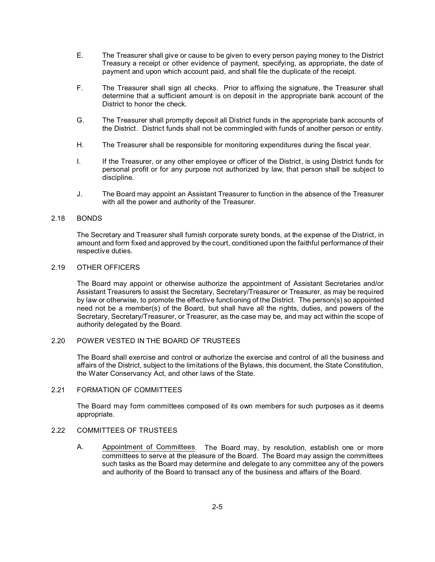- E. The Treasurer shall give or cause to be given to every person paying money to the District Treasury a receipt or other evidence of payment, specifying, as appropriate, the date of payment and upon which account paid, and shall file the duplicate of the receipt.
- F. The Treasurer shall sign all checks. Prior to affixing the signature, the Treasurer shall determine that a sufficient amount is on deposit in the appropriate bank account of the District to honor the check.
- G. The Treasurer shall promptly deposit all District funds in the appropriate bank accounts of the District. District funds shall not be commingled with funds of another person or entity.
- H. The Treasurer shall be responsible for monitoring expenditures during the fiscal year.
- I. If the Treasurer, or any other employee or officer of the District, is using District funds for personal profit or for any purpose not authorized by law, that person shall be subject to discipline.
- J. The Board may appoint an Assistant Treasurer to function in the absence of the Treasurer with all the power and authority of the Treasurer.

# 2.18 BONDS

The Secretary and Treasurer shall furnish corporate surety bonds, at the expense of the District, in amount and form fixed and approved by the court, conditioned upon the faithful performance of their respective duties.

# 2.19 OTHER OFFICERS

The Board may appoint or otherwise authorize the appointment of Assistant Secretaries and/or Assistant Treasurers to assist the Secretary, Secretary/Treasurer or Treasurer, as may be required by law or otherwise, to promote the effective functioning of the District. The person(s) so appointed need not be a member(s) of the Board, but shall have all the rights, duties, and powers of the Secretary, Secretary/Treasurer, or Treasurer, as the case may be, and may act within the scope of authority delegated by the Board.

#### 2.20 POWER VESTED IN THE BOARD OF TRUSTEES

The Board shall exercise and control or authorize the exercise and control of all the business and affairs of the District, subject to the limitations of the Bylaws, this document, the State Constitution, the Water Conservancy Act, and other laws of the State.

#### 2.21 FORMATION OF COMMITTEES

The Board may form committees composed of its own members for such purposes as it deems appropriate.

# 2.22 COMMITTEES OF TRUSTEES

A. Appointment of Committees. The Board may, by resolution, establish one or more committees to serve at the pleasure of the Board. The Board may assign the committees such tasks as the Board may determine and delegate to any committee any of the powers and authority of the Board to transact any of the business and affairs of the Board.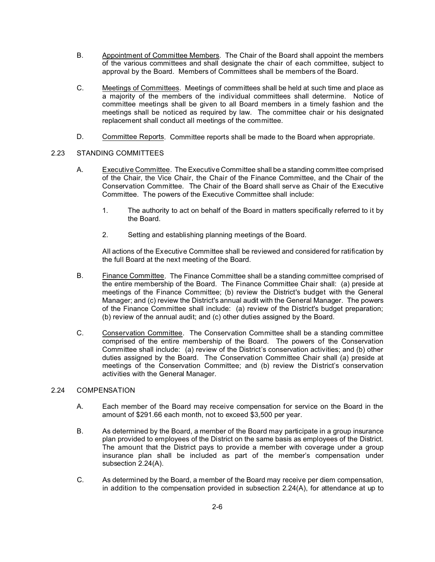- B. Appointment of Committee Members. The Chair of the Board shall appoint the members of the various committees and shall designate the chair of each committee, subject to approval by the Board. Members of Committees shall be members of the Board.
- C. Meetings of Committees. Meetings of committees shall be held at such time and place as a majority of the members of the individual committees shall determine. Notice of committee meetings shall be given to all Board members in a timely fashion and the meetings shall be noticed as required by law. The committee chair or his designated replacement shall conduct all meetings of the committee.
- D. Committee Reports. Committee reports shall be made to the Board when appropriate.

# 2.23 STANDING COMMITTEES

- A. Executive Committee. The Executive Committee shall be a standing committee comprised of the Chair, the Vice Chair, the Chair of the Finance Committee, and the Chair of the Conservation Committee. The Chair of the Board shall serve as Chair of the Executive Committee. The powers of the Executive Committee shall include:
	- 1. The authority to act on behalf of the Board in matters specifically referred to it by the Board.
	- 2. Setting and establishing planning meetings of the Board.

All actions of the Executive Committee shall be reviewed and considered for ratification by the full Board at the next meeting of the Board.

- B. Finance Committee. The Finance Committee shall be a standing committee comprised of the entire membership of the Board. The Finance Committee Chair shall: (a) preside at meetings of the Finance Committee; (b) review the District's budget with the General Manager; and (c) review the District's annual audit with the General Manager. The powers of the Finance Committee shall include: (a) review of the District's budget preparation; (b) review of the annual audit; and (c) other duties assigned by the Board.
- C. Conservation Committee. The Conservation Committee shall be a standing committee comprised of the entire membership of the Board. The powers of the Conservation Committee shall include: (a) review of the District's conservation activities; and (b) other duties assigned by the Board. The Conservation Committee Chair shall (a) preside at meetings of the Conservation Committee; and (b) review the District's conservation activities with the General Manager.

# 2.24 COMPENSATION

- A. Each member of the Board may receive compensation for service on the Board in the amount of \$291.66 each month, not to exceed \$3,500 per year.
- B. As determined by the Board, a member of the Board may participate in a group insurance plan provided to employees of the District on the same basis as employees of the District. The amount that the District pays to provide a member with coverage under a group insurance plan shall be included as part of the member's compensation under subsection 2.24(A).
- C. As determined by the Board, a member of the Board may receive per diem compensation, in addition to the compensation provided in subsection 2.24(A), for attendance at up to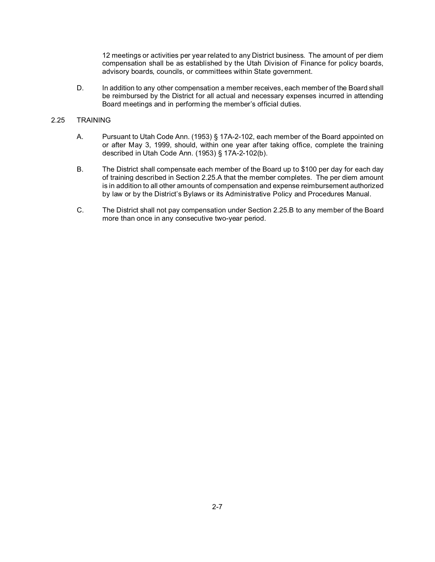12 meetings or activities per year related to any District business. The amount of per diem compensation shall be as established by the Utah Division of Finance for policy boards, advisory boards, councils, or committees within State government.

D. In addition to any other compensation a member receives, each member of the Board shall be reimbursed by the District for all actual and necessary expenses incurred in attending Board meetings and in performing the member's official duties.

# 2.25 TRAINING

- A. Pursuant to Utah Code Ann. (1953) § 17A-2-102, each member of the Board appointed on or after May 3, 1999, should, within one year after taking office, complete the training described in Utah Code Ann. (1953) § 17A-2-102(b).
- B. The District shall compensate each member of the Board up to \$100 per day for each day of training described in Section 2.25.A that the member completes. The per diem amount is in addition to all other amounts of compensation and expense reimbursement authorized by law or by the District's Bylaws or its Administrative Policy and Procedures Manual.
- C. The District shall not pay compensation under Section 2.25.B to any member of the Board more than once in any consecutive two-year period.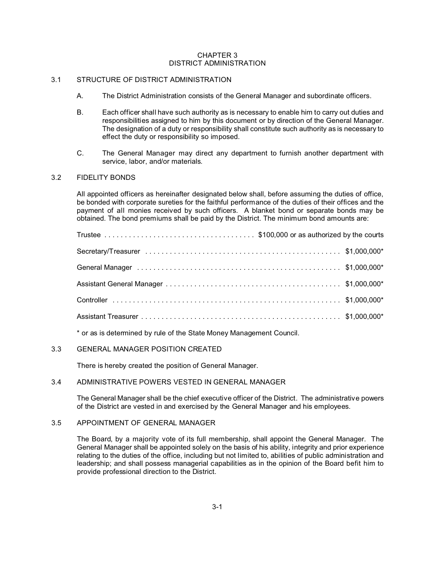#### CHAPTER 3 DISTRICT ADMINISTRATION

# 3.1 STRUCTURE OF DISTRICT ADMINISTRATION

- A. The District Administration consists of the General Manager and subordinate officers.
- B. Each officer shall have such authority as is necessary to enable him to carry out duties and responsibilities assigned to him by this document or by direction of the General Manager. The designation of a duty or responsibility shall constitute such authority as is necessary to effect the duty or responsibility so imposed.
- C. The General Manager may direct any department to furnish another department with service, labor, and/or materials.

# 3.2 FIDELITY BONDS

All appointed officers as hereinafter designated below shall, before assuming the duties of office, be bonded with corporate sureties for the faithful performance of the duties of their offices and the payment of all monies received by such officers. A blanket bond or separate bonds may be obtained. The bond premiums shall be paid by the District. The minimum bond amounts are:

\* or as is determined by rule of the State Money Management Council.

# 3.3 GENERAL MANAGER POSITION CREATED

There is hereby created the position of General Manager.

# 3.4 ADMINISTRATIVE POWERS VESTED IN GENERAL MANAGER

The General Manager shall be the chief executive officer of the District. The administrative powers of the District are vested in and exercised by the General Manager and his employees.

#### 3.5 APPOINTMENT OF GENERAL MANAGER

The Board, by a majority vote of its full membership, shall appoint the General Manager. The General Manager shall be appointed solely on the basis of his ability, integrity and prior experience relating to the duties of the office, including but not limited to, abilities of public administration and leadership; and shall possess managerial capabilities as in the opinion of the Board befit him to provide professional direction to the District.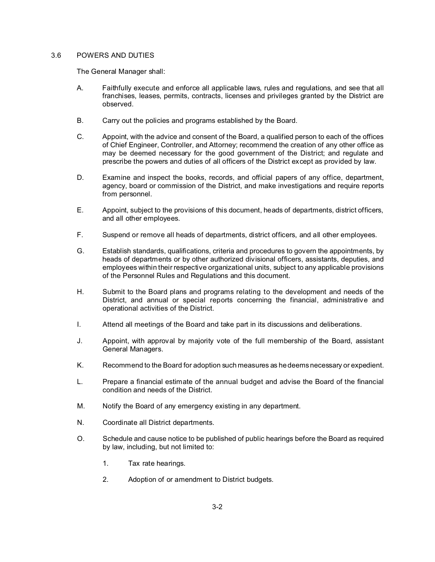# 3.6 POWERS AND DUTIES

The General Manager shall:

- A. Faithfully execute and enforce all applicable laws, rules and regulations, and see that all franchises, leases, permits, contracts, licenses and privileges granted by the District are observed.
- B. Carry out the policies and programs established by the Board.
- C. Appoint, with the advice and consent of the Board, a qualified person to each of the offices of Chief Engineer, Controller, and Attorney; recommend the creation of any other office as may be deemed necessary for the good government of the District; and regulate and prescribe the powers and duties of all officers of the District except as provided by law.
- D. Examine and inspect the books, records, and official papers of any office, department, agency, board or commission of the District, and make investigations and require reports from personnel.
- E. Appoint, subject to the provisions of this document, heads of departments, district officers, and all other employees.
- F. Suspend or remove all heads of departments, district officers, and all other employees.
- G. Establish standards, qualifications, criteria and procedures to govern the appointments, by heads of departments or by other authorized divisional officers, assistants, deputies, and employees within their respective organizational units, subject to any applicable provisions of the Personnel Rules and Regulations and this document.
- H. Submit to the Board plans and programs relating to the development and needs of the District, and annual or special reports concerning the financial, administrative and operational activities of the District.
- I. Attend all meetings of the Board and take part in its discussions and deliberations.
- J. Appoint, with approval by majority vote of the full membership of the Board, assistant General Managers.
- K. Recommend to the Board for adoption such measures as he deems necessary or expedient.
- L. Prepare a financial estimate of the annual budget and advise the Board of the financial condition and needs of the District.
- M. Notify the Board of any emergency existing in any department.
- N. Coordinate all District departments.
- O. Schedule and cause notice to be published of public hearings before the Board as required by law, including, but not limited to:
	- 1. Tax rate hearings.
	- 2. Adoption of or amendment to District budgets.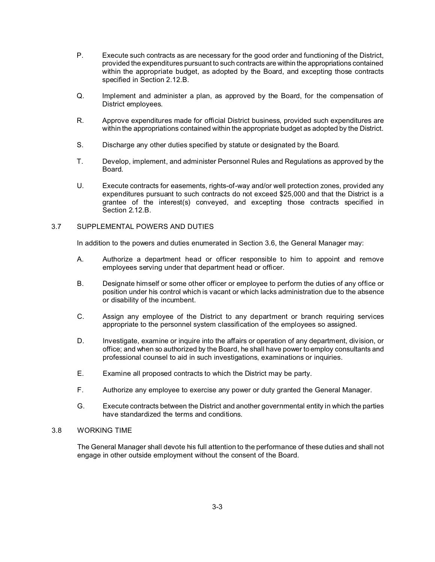- P. Execute such contracts as are necessary for the good order and functioning of the District, provided the expenditures pursuant to such contracts are within the appropriations contained within the appropriate budget, as adopted by the Board, and excepting those contracts specified in Section 2.12.B.
- Q. Implement and administer a plan, as approved by the Board, for the compensation of District employees.
- R. Approve expenditures made for official District business, provided such expenditures are within the appropriations contained within the appropriate budget as adopted by the District.
- S. Discharge any other duties specified by statute or designated by the Board.
- T. Develop, implement, and administer Personnel Rules and Regulations as approved by the Board.
- U. Execute contracts for easements, rights-of-way and/or well protection zones, provided any expenditures pursuant to such contracts do not exceed \$25,000 and that the District is a grantee of the interest(s) conveyed, and excepting those contracts specified in Section 2.12.B.

# 3.7 SUPPLEMENTAL POWERS AND DUTIES

In addition to the powers and duties enumerated in Section 3.6, the General Manager may:

- A. Authorize a department head or officer responsible to him to appoint and remove employees serving under that department head or officer.
- B. Designate himself or some other officer or employee to perform the duties of any office or position under his control which is vacant or which lacks administration due to the absence or disability of the incumbent.
- C. Assign any employee of the District to any department or branch requiring services appropriate to the personnel system classification of the employees so assigned.
- D. Investigate, examine or inquire into the affairs or operation of any department, division, or office; and when so authorized by the Board, he shall have power to employ consultants and professional counsel to aid in such investigations, examinations or inquiries.
- E. Examine all proposed contracts to which the District may be party.
- F. Authorize any employee to exercise any power or duty granted the General Manager.
- G. Execute contracts between the District and another governmental entity in which the parties have standardized the terms and conditions.

# 3.8 WORKING TIME

The General Manager shall devote his full attention to the performance of these duties and shall not engage in other outside employment without the consent of the Board.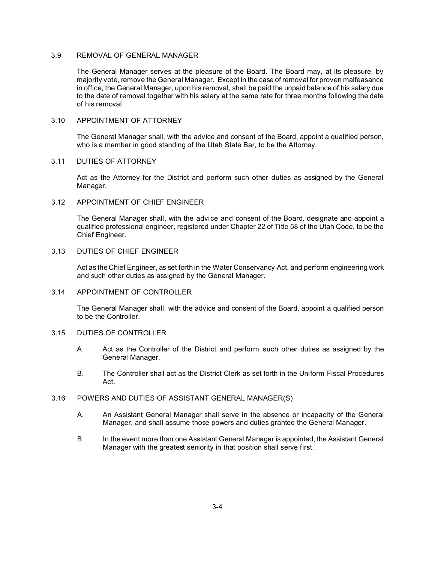# 3.9 REMOVAL OF GENERAL MANAGER

The General Manager serves at the pleasure of the Board. The Board may, at its pleasure, by majority vote, remove the General Manager. Except in the case of removal for proven malfeasance in office, the General Manager, upon his removal, shall be paid the unpaid balance of his salary due to the date of removal together with his salary at the same rate for three months following the date of his removal.

#### 3.10 APPOINTMENT OF ATTORNEY

The General Manager shall, with the advice and consent of the Board, appoint a qualified person, who is a member in good standing of the Utah State Bar, to be the Attorney.

#### 3.11 DUTIES OF ATTORNEY

Act as the Attorney for the District and perform such other duties as assigned by the General Manager.

#### 3.12 APPOINTMENT OF CHIEF ENGINEER

The General Manager shall, with the advice and consent of the Board, designate and appoint a qualified professional engineer, registered under Chapter 22 of Title 58 of the Utah Code, to be the Chief Engineer.

# 3.13 DUTIES OF CHIEF ENGINEER

Act as the Chief Engineer, as set forth in the Water Conservancy Act, and perform engineering work and such other duties as assigned by the General Manager.

#### 3.14 APPOINTMENT OF CONTROLLER

The General Manager shall, with the advice and consent of the Board, appoint a qualified person to be the Controller.

#### 3.15 DUTIES OF CONTROLLER

- A. Act as the Controller of the District and perform such other duties as assigned by the General Manager.
- B. The Controller shall act as the District Clerk as set forth in the Uniform Fiscal Procedures Act.

# 3.16 POWERS AND DUTIES OF ASSISTANT GENERAL MANAGER(S)

- A. An Assistant General Manager shall serve in the absence or incapacity of the General Manager, and shall assume those powers and duties granted the General Manager.
- B. In the event more than one Assistant General Manager is appointed, the Assistant General Manager with the greatest seniority in that position shall serve first.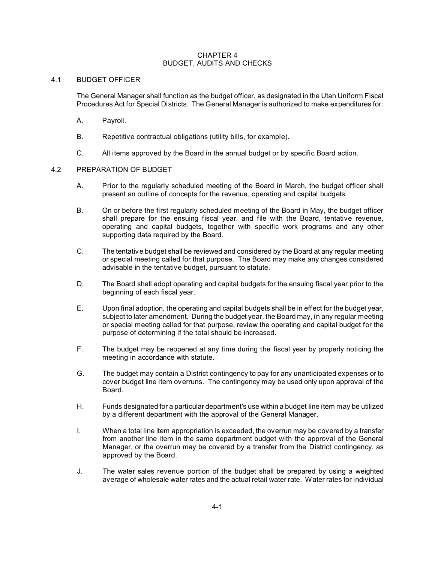# CHAPTER 4 BUDGET, AUDITS AND CHECKS

# 4.1 BUDGET OFFICER

The General Manager shall function as the budget officer, as designated in the Utah Uniform Fiscal Procedures Act for Special Districts. The General Manager is authorized to make expenditures for:

- A. Payroll.
- B. Repetitive contractual obligations (utility bills, for example).
- C. All items approved by the Board in the annual budget or by specific Board action.

# 4.2 PREPARATION OF BUDGET

- A. Prior to the regularly scheduled meeting of the Board in March, the budget officer shall present an outline of concepts for the revenue, operating and capital budgets.
- B. On or before the first regularly scheduled meeting of the Board in May, the budget officer shall prepare for the ensuing fiscal year, and file with the Board, tentative revenue, operating and capital budgets, together with specific work programs and any other supporting data required by the Board.
- C. The tentative budget shall be reviewed and considered by the Board at any regular meeting or special meeting called for that purpose. The Board may make any changes considered advisable in the tentative budget, pursuant to statute.
- D. The Board shall adopt operating and capital budgets for the ensuing fiscal year prior to the beginning of each fiscal year.
- E. Upon final adoption, the operating and capital budgets shall be in effect for the budget year, subject to later amendment. During the budget year, the Board may, in any regular meeting or special meeting called for that purpose, review the operating and capital budget for the purpose of determining if the total should be increased.
- F. The budget may be reopened at any time during the fiscal year by properly noticing the meeting in accordance with statute.
- G. The budget may contain a District contingency to pay for any unanticipated expenses or to cover budget line item overruns. The contingency may be used only upon approval of the Board.
- H. Funds designated for a particular department's use within a budget line item may be utilized by a different department with the approval of the General Manager.
- I. When a total line item appropriation is exceeded, the overrun may be covered by a transfer from another line item in the same department budget with the approval of the General Manager, or the overrun may be covered by a transfer from the District contingency, as approved by the Board.
- J. The water sales revenue portion of the budget shall be prepared by using a weighted average of wholesale water rates and the actual retail water rate. Water rates for individual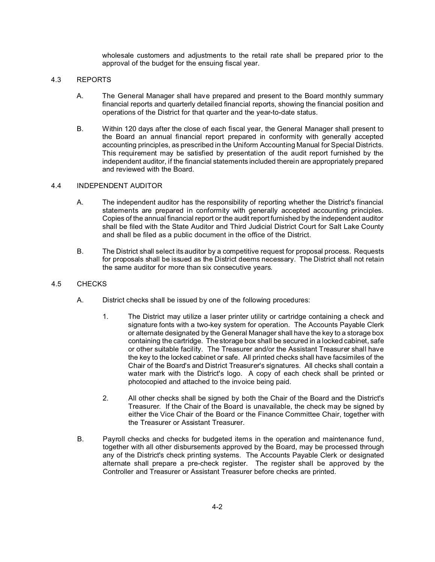wholesale customers and adjustments to the retail rate shall be prepared prior to the approval of the budget for the ensuing fiscal year.

# 4.3 REPORTS

- A. The General Manager shall have prepared and present to the Board monthly summary financial reports and quarterly detailed financial reports, showing the financial position and operations of the District for that quarter and the year-to-date status.
- B. Within 120 days after the close of each fiscal year, the General Manager shall present to the Board an annual financial report prepared in conformity with generally accepted accounting principles, as prescribed in the Uniform Accounting Manual for Special Districts. This requirement may be satisfied by presentation of the audit report furnished by the independent auditor, if the financial statements included therein are appropriately prepared and reviewed with the Board.

# 4.4 INDEPENDENT AUDITOR

- A. The independent auditor has the responsibility of reporting whether the District's financial statements are prepared in conformity with generally accepted accounting principles. Copies of the annual financial report or the audit report furnished by the independent auditor shall be filed with the State Auditor and Third Judicial District Court for Salt Lake County and shall be filed as a public document in the office of the District.
- B. The District shall select its auditor by a competitive request for proposal process. Requests for proposals shall be issued as the District deems necessary. The District shall not retain the same auditor for more than six consecutive years.

# 4.5 CHECKS

- A. District checks shall be issued by one of the following procedures:
	- 1. The District may utilize a laser printer utility or cartridge containing a check and signature fonts with a two-key system for operation. The Accounts Payable Clerk or alternate designated by the General Manager shall have the key to a storage box containing the cartridge. The storage box shall be secured in a locked cabinet, safe or other suitable facility. The Treasurer and/or the Assistant Treasurer shall have the key to the locked cabinet or safe. All printed checks shall have facsimiles of the Chair of the Board's and District Treasurer's signatures. All checks shall contain a water mark with the District's logo. A copy of each check shall be printed or photocopied and attached to the invoice being paid.
	- 2. All other checks shall be signed by both the Chair of the Board and the District's Treasurer. If the Chair of the Board is unavailable, the check may be signed by either the Vice Chair of the Board or the Finance Committee Chair, together with the Treasurer or Assistant Treasurer.
- B. Payroll checks and checks for budgeted items in the operation and maintenance fund, together with all other disbursements approved by the Board, may be processed through any of the District's check printing systems. The Accounts Payable Clerk or designated alternate shall prepare a pre-check register. The register shall be approved by the Controller and Treasurer or Assistant Treasurer before checks are printed.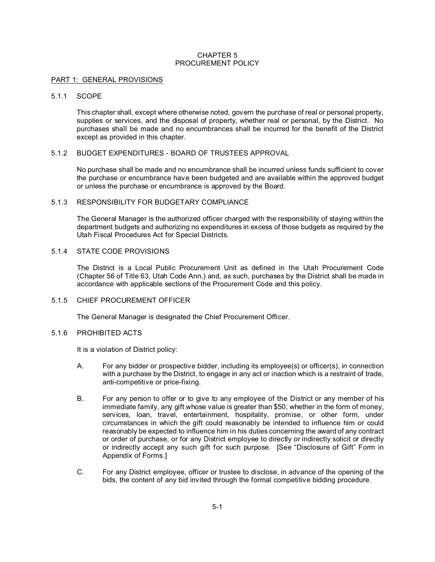# CHAPTER 5 PROCUREMENT POLICY

#### PART 1: GENERAL PROVISIONS

#### 5.1.1 SCOPE

This chapter shall, except where otherwise noted, govern the purchase of real or personal property, supplies or services, and the disposal of property, whether real or personal, by the District. No purchases shall be made and no encumbrances shall be incurred for the benefit of the District except as provided in this chapter.

# 5.1.2 BUDGET EXPENDITURES - BOARD OF TRUSTEES APPROVAL

No purchase shall be made and no encumbrance shall be incurred unless funds sufficient to cover the purchase or encumbrance have been budgeted and are available within the approved budget or unless the purchase or encumbrance is approved by the Board.

#### 5.1.3 RESPONSIBILITY FOR BUDGETARY COMPLIANCE

The General Manager is the authorized officer charged with the responsibility of staying within the department budgets and authorizing no expenditures in excess of those budgets as required by the Utah Fiscal Procedures Act for Special Districts.

# 5.1.4 STATE CODE PROVISIONS

The District is a Local Public Procurement Unit as defined in the Utah Procurement Code (Chapter 56 of Title 63, Utah Code Ann.) and, as such, purchases by the District shall be made in accordance with applicable sections of the Procurement Code and this policy.

# 5.1.5 CHIEF PROCUREMENT OFFICER

The General Manager is designated the Chief Procurement Officer.

# 5.1.6 PROHIBITED ACTS

It is a violation of District policy:

- A. For any bidder or prospective bidder, including its employee(s) or officer(s), in connection with a purchase by the District, to engage in any act or inaction which is a restraint of trade, anti-competitive or price-fixing.
- B. For any person to offer or to give to any employee of the District or any member of his immediate family, any gift whose value is greater than \$50, whether in the form of money, services, loan, travel, entertainment, hospitality, promise, or other form, under circumstances in which the gift could reasonably be intended to influence him or could reasonably be expected to influence him in his duties concerning the award of any contract or order of purchase, or for any District employee to directly or indirectly solicit or directly or indirectly accept any such gift for such purpose. [See "Disclosure of Gift" Form in Appendix of Forms.]
- C. For any District employee, officer or trustee to disclose, in advance of the opening of the bids, the content of any bid invited through the formal competitive bidding procedure.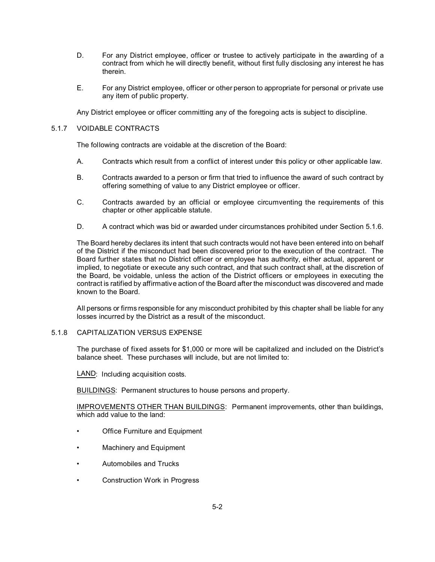- D. For any District employee, officer or trustee to actively participate in the awarding of a contract from which he will directly benefit, without first fully disclosing any interest he has therein.
- E. For any District employee, officer or other person to appropriate for personal or private use any item of public property.

Any District employee or officer committing any of the foregoing acts is subject to discipline.

# 5.1.7 VOIDABLE CONTRACTS

The following contracts are voidable at the discretion of the Board:

- A. Contracts which result from a conflict of interest under this policy or other applicable law.
- B. Contracts awarded to a person or firm that tried to influence the award of such contract by offering something of value to any District employee or officer.
- C. Contracts awarded by an official or employee circumventing the requirements of this chapter or other applicable statute.
- D. A contract which was bid or awarded under circumstances prohibited under Section 5.1.6.

The Board hereby declares its intent that such contracts would not have been entered into on behalf of the District if the misconduct had been discovered prior to the execution of the contract. The Board further states that no District officer or employee has authority, either actual, apparent or implied, to negotiate or execute any such contract, and that such contract shall, at the discretion of the Board, be voidable, unless the action of the District officers or employees in executing the contract is ratified by affirmative action of the Board after the misconduct was discovered and made known to the Board.

All persons or firms responsible for any misconduct prohibited by this chapter shall be liable for any losses incurred by the District as a result of the misconduct.

# 5.1.8 CAPITALIZATION VERSUS EXPENSE

The purchase of fixed assets for \$1,000 or more will be capitalized and included on the District's balance sheet. These purchases will include, but are not limited to:

LAND: Including acquisition costs.

BUILDINGS: Permanent structures to house persons and property.

IMPROVEMENTS OTHER THAN BUILDINGS: Permanent improvements, other than buildings, which add value to the land:

- **Office Furniture and Equipment**
- Machinery and Equipment
- Automobiles and Trucks
- Construction Work in Progress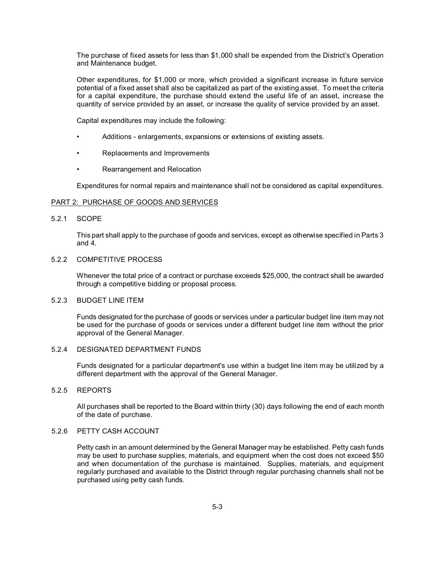The purchase of fixed assets for less than \$1,000 shall be expended from the District's Operation and Maintenance budget.

Other expenditures, for \$1,000 or more, which provided a significant increase in future service potential of a fixed asset shall also be capitalized as part of the existing asset. To meet the criteria for a capital expenditure, the purchase should extend the useful life of an asset, increase the quantity of service provided by an asset, or increase the quality of service provided by an asset.

Capital expenditures may include the following:

- Additions enlargements, expansions or extensions of existing assets.
- Replacements and Improvements
- Rearrangement and Relocation

Expenditures for normal repairs and maintenance shall not be considered as capital expenditures.

#### PART 2: PURCHASE OF GOODS AND SERVICES

#### 5.2.1 SCOPE

This part shall apply to the purchase of goods and services, except as otherwise specified in Parts 3 and 4.

# 5.2.2 COMPETITIVE PROCESS

Whenever the total price of a contract or purchase exceeds \$25,000, the contract shall be awarded through a competitive bidding or proposal process.

#### 5.2.3 BUDGET LINE ITEM

Funds designated for the purchase of goods or services under a particular budget line item may not be used for the purchase of goods or services under a different budget line item without the prior approval of the General Manager.

#### 5.2.4 DESIGNATED DEPARTMENT FUNDS

Funds designated for a particular department's use within a budget line item may be utilized by a different department with the approval of the General Manager.

# 5.2.5 REPORTS

All purchases shall be reported to the Board within thirty (30) days following the end of each month of the date of purchase.

#### 5.2.6 PETTY CASH ACCOUNT

Petty cash in an amount determined by the General Manager may be established. Petty cash funds may be used to purchase supplies, materials, and equipment when the cost does not exceed \$50 and when documentation of the purchase is maintained. Supplies, materials, and equipment regularly purchased and available to the District through regular purchasing channels shall not be purchased using petty cash funds.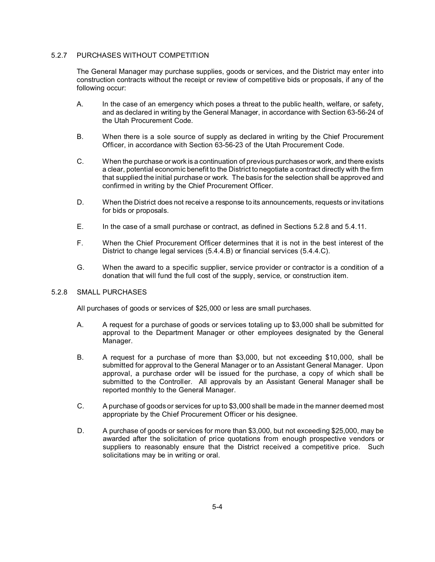# 5.2.7 PURCHASES WITHOUT COMPETITION

The General Manager may purchase supplies, goods or services, and the District may enter into construction contracts without the receipt or review of competitive bids or proposals, if any of the following occur:

- A. In the case of an emergency which poses a threat to the public health, welfare, or safety, and as declared in writing by the General Manager, in accordance with Section 63-56-24 of the Utah Procurement Code.
- B. When there is a sole source of supply as declared in writing by the Chief Procurement Officer, in accordance with Section 63-56-23 of the Utah Procurement Code.
- C. When the purchase or work is a continuation of previous purchases or work, and there exists a clear, potential economic benefit to the District to negotiate a contract directly with the firm that supplied the initial purchase or work. The basis for the selection shall be approved and confirmed in writing by the Chief Procurement Officer.
- D. When the District does not receive a response to its announcements, requests or invitations for bids or proposals.
- E. In the case of a small purchase or contract, as defined in Sections 5.2.8 and 5.4.11.
- F. When the Chief Procurement Officer determines that it is not in the best interest of the District to change legal services (5.4.4.B) or financial services (5.4.4.C).
- G. When the award to a specific supplier, service provider or contractor is a condition of a donation that will fund the full cost of the supply, service, or construction item.

# 5.2.8 SMALL PURCHASES

All purchases of goods or services of \$25,000 or less are small purchases.

- A. A request for a purchase of goods or services totaling up to \$3,000 shall be submitted for approval to the Department Manager or other employees designated by the General Manager.
- B. A request for a purchase of more than \$3,000, but not exceeding \$10,000, shall be submitted for approval to the General Manager or to an Assistant General Manager. Upon approval, a purchase order will be issued for the purchase, a copy of which shall be submitted to the Controller. All approvals by an Assistant General Manager shall be reported monthly to the General Manager.
- C. A purchase of goods or services for up to \$3,000 shall be made in the manner deemed most appropriate by the Chief Procurement Officer or his designee.
- D. A purchase of goods or services for more than \$3,000, but not exceeding \$25,000, may be awarded after the solicitation of price quotations from enough prospective vendors or suppliers to reasonably ensure that the District received a competitive price. Such solicitations may be in writing or oral.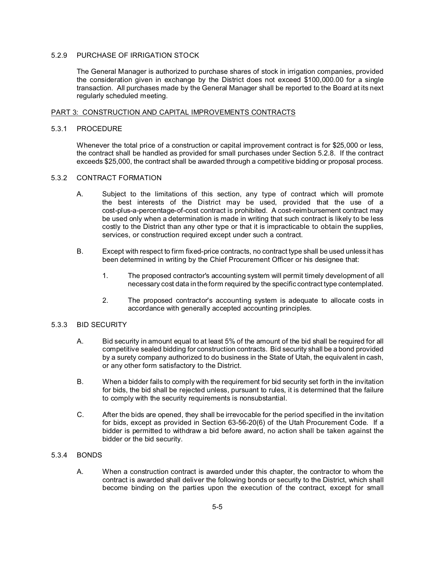# 5.2.9 PURCHASE OF IRRIGATION STOCK

The General Manager is authorized to purchase shares of stock in irrigation companies, provided the consideration given in exchange by the District does not exceed \$100,000.00 for a single transaction. All purchases made by the General Manager shall be reported to the Board at its next regularly scheduled meeting.

#### PART 3: CONSTRUCTION AND CAPITAL IMPROVEMENTS CONTRACTS

# 5.3.1 PROCEDURE

Whenever the total price of a construction or capital improvement contract is for \$25,000 or less, the contract shall be handled as provided for small purchases under Section 5.2.8. If the contract exceeds \$25,000, the contract shall be awarded through a competitive bidding or proposal process.

#### 5.3.2 CONTRACT FORMATION

- A. Subject to the limitations of this section, any type of contract which will promote the best interests of the District may be used, provided that the use of a cost-plus-a-percentage-of-cost contract is prohibited. A cost-reimbursement contract may be used only when a determination is made in writing that such contract is likely to be less costly to the District than any other type or that it is impracticable to obtain the supplies, services, or construction required except under such a contract.
- B. Except with respect to firm fixed-price contracts, no contract type shall be used unless it has been determined in writing by the Chief Procurement Officer or his designee that:
	- 1. The proposed contractor's accounting system will permit timely development of all necessary cost data in the form required by the specific contract type contemplated.
	- 2. The proposed contractor's accounting system is adequate to allocate costs in accordance with generally accepted accounting principles.

#### 5.3.3 BID SECURITY

- A. Bid security in amount equal to at least 5% of the amount of the bid shall be required for all competitive sealed bidding for construction contracts. Bid security shall be a bond provided by a surety company authorized to do business in the State of Utah, the equivalent in cash, or any other form satisfactory to the District.
- B. When a bidder fails to comply with the requirement for bid security set forth in the invitation for bids, the bid shall be rejected unless, pursuant to rules, it is determined that the failure to comply with the security requirements is nonsubstantial.
- C. After the bids are opened, they shall be irrevocable for the period specified in the invitation for bids, except as provided in Section 63-56-20(6) of the Utah Procurement Code. If a bidder is permitted to withdraw a bid before award, no action shall be taken against the bidder or the bid security.

# 5.3.4 BONDS

A. When a construction contract is awarded under this chapter, the contractor to whom the contract is awarded shall deliver the following bonds or security to the District, which shall become binding on the parties upon the execution of the contract, except for small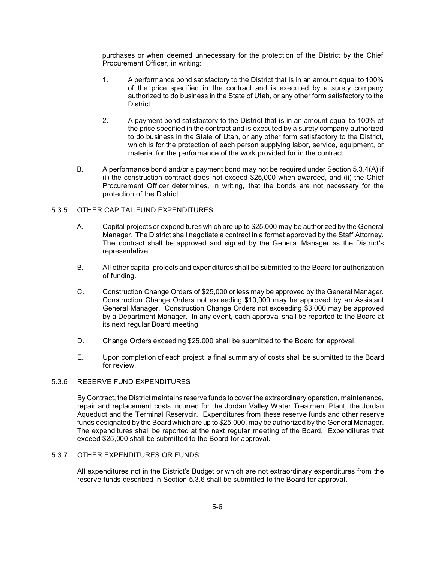purchases or when deemed unnecessary for the protection of the District by the Chief Procurement Officer, in writing:

- 1. A performance bond satisfactory to the District that is in an amount equal to 100% of the price specified in the contract and is executed by a surety company authorized to do business in the State of Utah, or any other form satisfactory to the District.
- 2. A payment bond satisfactory to the District that is in an amount equal to 100% of the price specified in the contract and is executed by a surety company authorized to do business in the State of Utah, or any other form satisfactory to the District, which is for the protection of each person supplying labor, service, equipment, or material for the performance of the work provided for in the contract.
- B. A performance bond and/or a payment bond may not be required under Section 5.3.4(A) if (i) the construction contract does not exceed \$25,000 when awarded, and (ii) the Chief Procurement Officer determines, in writing, that the bonds are not necessary for the protection of the District.

# 5.3.5 OTHER CAPITAL FUND EXPENDITURES

- A. Capital projects or expenditures which are up to \$25,000 may be authorized by the General Manager. The District shall negotiate a contract in a format approved by the Staff Attorney. The contract shall be approved and signed by the General Manager as the District's representative.
- B. All other capital projects and expenditures shall be submitted to the Board for authorization of funding.
- C. Construction Change Orders of \$25,000 or less may be approved by the General Manager. Construction Change Orders not exceeding \$10,000 may be approved by an Assistant General Manager. Construction Change Orders not exceeding \$3,000 may be approved by a Department Manager. In any event, each approval shall be reported to the Board at its next regular Board meeting.
- D. Change Orders exceeding \$25,000 shall be submitted to the Board for approval.
- E. Upon completion of each project, a final summary of costs shall be submitted to the Board for review.

#### 5.3.6 RESERVE FUND EXPENDITURES

By Contract, the District maintains reserve funds to cover the extraordinary operation, maintenance, repair and replacement costs incurred for the Jordan Valley Water Treatment Plant, the Jordan Aqueduct and the Terminal Reservoir. Expenditures from these reserve funds and other reserve funds designated by the Board which are up to \$25,000, may be authorized by the General Manager. The expenditures shall be reported at the next regular meeting of the Board. Expenditures that exceed \$25,000 shall be submitted to the Board for approval.

#### 5.3.7 OTHER EXPENDITURES OR FUNDS

All expenditures not in the District's Budget or which are not extraordinary expenditures from the reserve funds described in Section 5.3.6 shall be submitted to the Board for approval.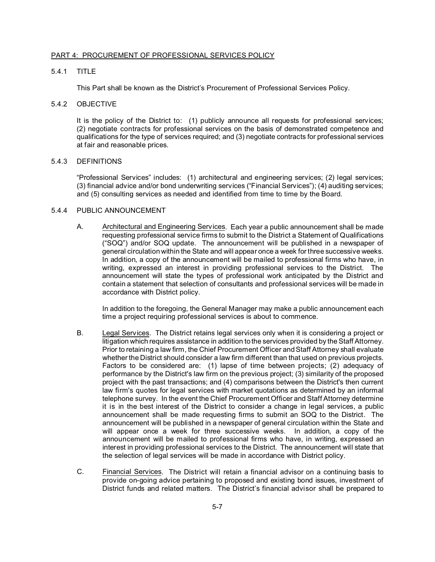#### PART 4: PROCUREMENT OF PROFESSIONAL SERVICES POLICY

# 5.4.1 TITLE

This Part shall be known as the District's Procurement of Professional Services Policy.

#### 5.4.2 OBJECTIVE

It is the policy of the District to: (1) publicly announce all requests for professional services; (2) negotiate contracts for professional services on the basis of demonstrated competence and qualifications for the type of services required; and (3) negotiate contracts for professional services at fair and reasonable prices.

#### 5.4.3 DEFINITIONS

"Professional Services" includes: (1) architectural and engineering services; (2) legal services; (3) financial advice and/or bond underwriting services ("Financial Services"); (4) auditing services; and (5) consulting services as needed and identified from time to time by the Board.

# 5.4.4 PUBLIC ANNOUNCEMENT

A. Architectural and Engineering Services. Each year a public announcement shall be made requesting professional service firms to submit to the District a Statement of Qualifications ("SOQ") and/or SOQ update. The announcement will be published in a newspaper of general circulation within the State and will appear once a week for three successive weeks. In addition, a copy of the announcement will be mailed to professional firms who have, in writing, expressed an interest in providing professional services to the District. The announcement will state the types of professional work anticipated by the District and contain a statement that selection of consultants and professional services will be made in accordance with District policy.

In addition to the foregoing, the General Manager may make a public announcement each time a project requiring professional services is about to commence.

- B. Legal Services. The District retains legal services only when it is considering a project or litigation which requires assistance in addition to the services provided by the Staff Attorney. Prior to retaining a law firm, the Chief Procurement Officer and Staff Attorney shall evaluate whether the District should consider a law firm different than that used on previous projects. Factors to be considered are: (1) lapse of time between projects; (2) adequacy of performance by the District's law firm on the previous project; (3) similarity of the proposed project with the past transactions; and (4) comparisons between the District's then current law firm's quotes for legal services with market quotations as determined by an informal telephone survey. In the event the Chief Procurement Officer and Staff Attorney determine it is in the best interest of the District to consider a change in legal services, a public announcement shall be made requesting firms to submit an SOQ to the District. The announcement will be published in a newspaper of general circulation within the State and will appear once a week for three successive weeks. In addition, a copy of the announcement will be mailed to professional firms who have, in writing, expressed an interest in providing professional services to the District. The announcement will state that the selection of legal services will be made in accordance with District policy.
- C. Financial Services. The District will retain a financial advisor on a continuing basis to provide on-going advice pertaining to proposed and existing bond issues, investment of District funds and related matters. The District's financial advisor shall be prepared to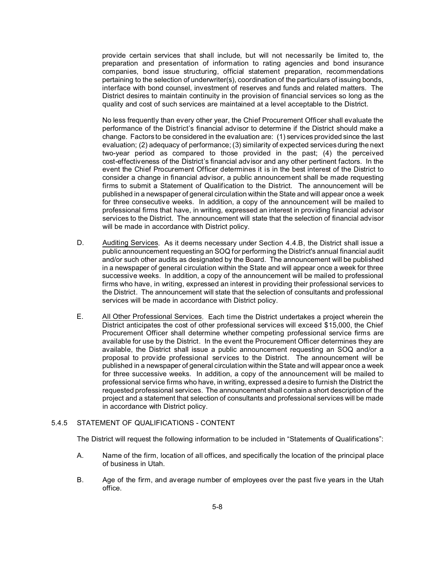provide certain services that shall include, but will not necessarily be limited to, the preparation and presentation of information to rating agencies and bond insurance companies, bond issue structuring, official statement preparation, recommendations pertaining to the selection of underwriter(s), coordination of the particulars of issuing bonds, interface with bond counsel, investment of reserves and funds and related matters. The District desires to maintain continuity in the provision of financial services so long as the quality and cost of such services are maintained at a level acceptable to the District.

No less frequently than every other year, the Chief Procurement Officer shall evaluate the performance of the District's financial advisor to determine if the District should make a change. Factors to be considered in the evaluation are: (1) services provided since the last evaluation; (2) adequacy of performance; (3) similarity of expected services during the next two-year period as compared to those provided in the past; (4) the perceived cost-effectiveness of the District's financial advisor and any other pertinent factors. In the event the Chief Procurement Officer determines it is in the best interest of the District to consider a change in financial advisor, a public announcement shall be made requesting firms to submit a Statement of Qualification to the District. The announcement will be published in a newspaper of general circulation within the State and will appear once a week for three consecutive weeks. In addition, a copy of the announcement will be mailed to professional firms that have, in writing, expressed an interest in providing financial advisor services to the District. The announcement will state that the selection of financial advisor will be made in accordance with District policy.

- D. Auditing Services. As it deems necessary under Section 4.4.B, the District shall issue a public announcement requesting an SOQ for performing the District's annual financial audit and/or such other audits as designated by the Board. The announcement will be published in a newspaper of general circulation within the State and will appear once a week for three successive weeks. In addition, a copy of the announcement will be mailed to professional firms who have, in writing, expressed an interest in providing their professional services to the District. The announcement will state that the selection of consultants and professional services will be made in accordance with District policy.
- E. All Other Professional Services. Each time the District undertakes a project wherein the District anticipates the cost of other professional services will exceed \$15,000, the Chief Procurement Officer shall determine whether competing professional service firms are available for use by the District. In the event the Procurement Officer determines they are available, the District shall issue a public announcement requesting an SOQ and/or a proposal to provide professional services to the District. The announcement will be published in a newspaper of general circulation within the State and will appear once a week for three successive weeks. In addition, a copy of the announcement will be mailed to professional service firms who have, in writing, expressed a desire to furnish the District the requested professional services. The announcement shall contain a short description of the project and a statement that selection of consultants and professional services will be made in accordance with District policy.

#### 5.4.5 STATEMENT OF QUALIFICATIONS - CONTENT

The District will request the following information to be included in "Statements of Qualifications":

- A. Name of the firm, location of all offices, and specifically the location of the principal place of business in Utah.
- B. Age of the firm, and average number of employees over the past five years in the Utah office.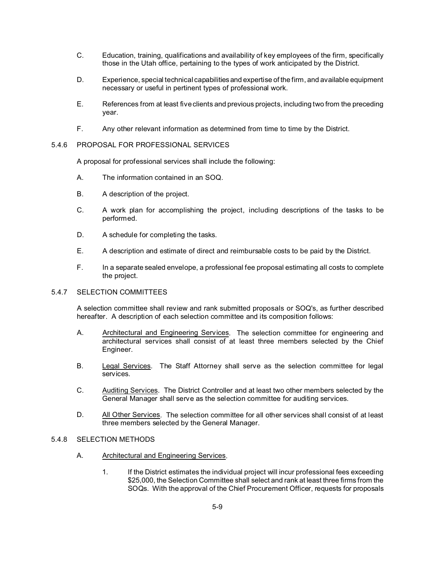- C. Education, training, qualifications and availability of key employees of the firm, specifically those in the Utah office, pertaining to the types of work anticipated by the District.
- D. Experience, special technical capabilities and expertise of the firm, and available equipment necessary or useful in pertinent types of professional work.
- E. References from at least five clients and previous projects, including two from the preceding year.
- F. Any other relevant information as determined from time to time by the District.

# 5.4.6 PROPOSAL FOR PROFESSIONAL SERVICES

A proposal for professional services shall include the following:

- A. The information contained in an SOQ.
- B. A description of the project.
- C. A work plan for accomplishing the project, including descriptions of the tasks to be performed.
- D. A schedule for completing the tasks.
- E. A description and estimate of direct and reimbursable costs to be paid by the District.
- F. In a separate sealed envelope, a professional fee proposal estimating all costs to complete the project.

# 5.4.7 SELECTION COMMITTEES

A selection committee shall review and rank submitted proposals or SOQ's, as further described hereafter. A description of each selection committee and its composition follows:

- A. Architectural and Engineering Services. The selection committee for engineering and architectural services shall consist of at least three members selected by the Chief Engineer.
- B. Legal Services. The Staff Attorney shall serve as the selection committee for legal services.
- C. Auditing Services. The District Controller and at least two other members selected by the General Manager shall serve as the selection committee for auditing services.
- D. All Other Services. The selection committee for all other services shall consist of at least three members selected by the General Manager.

# 5.4.8 SELECTION METHODS

- A. Architectural and Engineering Services.
	- 1. If the District estimates the individual project will incur professional fees exceeding \$25,000, the Selection Committee shall select and rank at least three firms from the SOQs. With the approval of the Chief Procurement Officer, requests for proposals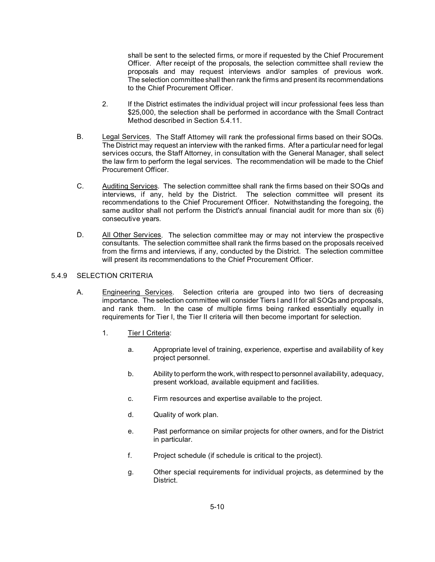shall be sent to the selected firms, or more if requested by the Chief Procurement Officer. After receipt of the proposals, the selection committee shall review the proposals and may request interviews and/or samples of previous work. The selection committee shall then rank the firms and present its recommendations to the Chief Procurement Officer.

- 2. If the District estimates the individual project will incur professional fees less than \$25,000, the selection shall be performed in accordance with the Small Contract Method described in Section 5.4.11.
- B. Legal Services. The Staff Attorney will rank the professional firms based on their SOQs. The District may request an interview with the ranked firms. After a particular need for legal services occurs, the Staff Attorney, in consultation with the General Manager, shall select the law firm to perform the legal services. The recommendation will be made to the Chief Procurement Officer.
- C. Auditing Services. The selection committee shall rank the firms based on their SOQs and interviews, if any, held by the District. The selection committee will present its recommendations to the Chief Procurement Officer. Notwithstanding the foregoing, the same auditor shall not perform the District's annual financial audit for more than six (6) consecutive years.
- D. All Other Services. The selection committee may or may not interview the prospective consultants. The selection committee shall rank the firms based on the proposals received from the firms and interviews, if any, conducted by the District. The selection committee will present its recommendations to the Chief Procurement Officer.

# 5.4.9 SELECTION CRITERIA

- A. Engineering Services. Selection criteria are grouped into two tiers of decreasing importance. The selection committee will consider Tiers I and II for all SOQs and proposals, and rank them. In the case of multiple firms being ranked essentially equally in requirements for Tier I, the Tier II criteria will then become important for selection.
	- 1. Tier I Criteria:
		- a. Appropriate level of training, experience, expertise and availability of key project personnel.
		- b. Ability to perform the work, with respect to personnel availability, adequacy, present workload, available equipment and facilities.
		- c. Firm resources and expertise available to the project.
		- d. Quality of work plan.
		- e. Past performance on similar projects for other owners, and for the District in particular.
		- f. Project schedule (if schedule is critical to the project).
		- g. Other special requirements for individual projects, as determined by the District.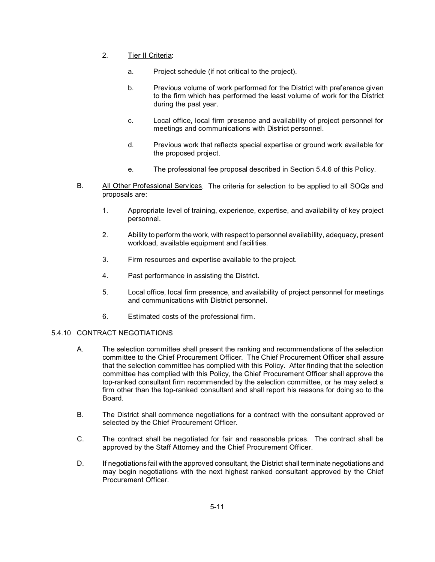- 2. Tier II Criteria:
	- a. Project schedule (if not critical to the project).
	- b. Previous volume of work performed for the District with preference given to the firm which has performed the least volume of work for the District during the past year.
	- c. Local office, local firm presence and availability of project personnel for meetings and communications with District personnel.
	- d. Previous work that reflects special expertise or ground work available for the proposed project.
	- e. The professional fee proposal described in Section 5.4.6 of this Policy.
- B. All Other Professional Services. The criteria for selection to be applied to all SOQs and proposals are:
	- 1. Appropriate level of training, experience, expertise, and availability of key project personnel.
	- 2. Ability to perform the work, with respect to personnel availability, adequacy, present workload, available equipment and facilities.
	- 3. Firm resources and expertise available to the project.
	- 4. Past performance in assisting the District.
	- 5. Local office, local firm presence, and availability of project personnel for meetings and communications with District personnel.
	- 6. Estimated costs of the professional firm.

# 5.4.10 CONTRACT NEGOTIATIONS

- A. The selection committee shall present the ranking and recommendations of the selection committee to the Chief Procurement Officer. The Chief Procurement Officer shall assure that the selection committee has complied with this Policy. After finding that the selection committee has complied with this Policy, the Chief Procurement Officer shall approve the top-ranked consultant firm recommended by the selection committee, or he may select a firm other than the top-ranked consultant and shall report his reasons for doing so to the Board.
- B. The District shall commence negotiations for a contract with the consultant approved or selected by the Chief Procurement Officer.
- C. The contract shall be negotiated for fair and reasonable prices. The contract shall be approved by the Staff Attorney and the Chief Procurement Officer.
- D. If negotiations fail with the approved consultant, the District shall terminate negotiations and may begin negotiations with the next highest ranked consultant approved by the Chief Procurement Officer.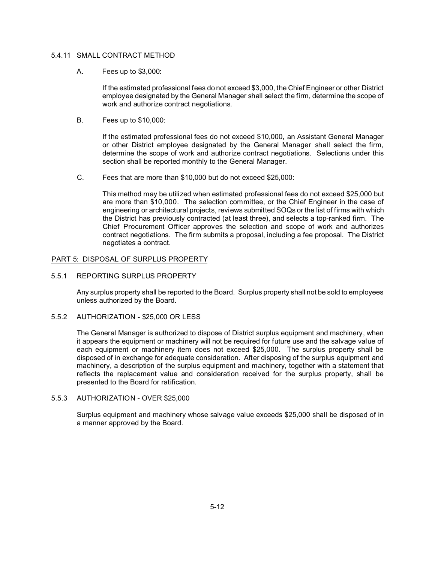# 5.4.11 SMALL CONTRACT METHOD

A. Fees up to \$3,000:

If the estimated professional fees do not exceed \$3,000, the Chief Engineer or other District employee designated by the General Manager shall select the firm, determine the scope of work and authorize contract negotiations.

B. Fees up to \$10,000:

If the estimated professional fees do not exceed \$10,000, an Assistant General Manager or other District employee designated by the General Manager shall select the firm, determine the scope of work and authorize contract negotiations. Selections under this section shall be reported monthly to the General Manager.

C. Fees that are more than \$10,000 but do not exceed \$25,000:

This method may be utilized when estimated professional fees do not exceed \$25,000 but are more than \$10,000. The selection committee, or the Chief Engineer in the case of engineering or architectural projects, reviews submitted SOQs or the list of firms with which the District has previously contracted (at least three), and selects a top-ranked firm. The Chief Procurement Officer approves the selection and scope of work and authorizes contract negotiations. The firm submits a proposal, including a fee proposal. The District negotiates a contract.

# PART 5: DISPOSAL OF SURPLUS PROPERTY

5.5.1 REPORTING SURPLUS PROPERTY

Any surplus property shall be reported to the Board. Surplus property shall not be sold to employees unless authorized by the Board.

5.5.2 AUTHORIZATION - \$25,000 OR LESS

The General Manager is authorized to dispose of District surplus equipment and machinery, when it appears the equipment or machinery will not be required for future use and the salvage value of each equipment or machinery item does not exceed \$25,000. The surplus property shall be disposed of in exchange for adequate consideration. After disposing of the surplus equipment and machinery, a description of the surplus equipment and machinery, together with a statement that reflects the replacement value and consideration received for the surplus property, shall be presented to the Board for ratification.

# 5.5.3 AUTHORIZATION - OVER \$25,000

Surplus equipment and machinery whose salvage value exceeds \$25,000 shall be disposed of in a manner approved by the Board.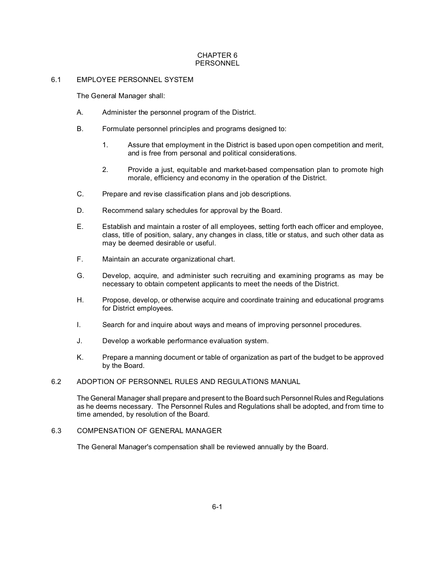# CHAPTER 6 PERSONNEL

# 6.1 EMPLOYEE PERSONNEL SYSTEM

The General Manager shall:

- A. Administer the personnel program of the District.
- B. Formulate personnel principles and programs designed to:
	- 1. Assure that employment in the District is based upon open competition and merit, and is free from personal and political considerations.
	- 2. Provide a just, equitable and market-based compensation plan to promote high morale, efficiency and economy in the operation of the District.
- C. Prepare and revise classification plans and job descriptions.
- D. Recommend salary schedules for approval by the Board.
- E. Establish and maintain a roster of all employees, setting forth each officer and employee, class, title of position, salary, any changes in class, title or status, and such other data as may be deemed desirable or useful.
- F. Maintain an accurate organizational chart.
- G. Develop, acquire, and administer such recruiting and examining programs as may be necessary to obtain competent applicants to meet the needs of the District.
- H. Propose, develop, or otherwise acquire and coordinate training and educational programs for District employees.
- I. Search for and inquire about ways and means of improving personnel procedures.
- J. Develop a workable performance evaluation system.
- K. Prepare a manning document or table of organization as part of the budget to be approved by the Board.

# 6.2 ADOPTION OF PERSONNEL RULES AND REGULATIONS MANUAL

The General Manager shall prepare and present to the Board such Personnel Rules and Regulations as he deems necessary. The Personnel Rules and Regulations shall be adopted, and from time to time amended, by resolution of the Board.

# 6.3 COMPENSATION OF GENERAL MANAGER

The General Manager's compensation shall be reviewed annually by the Board.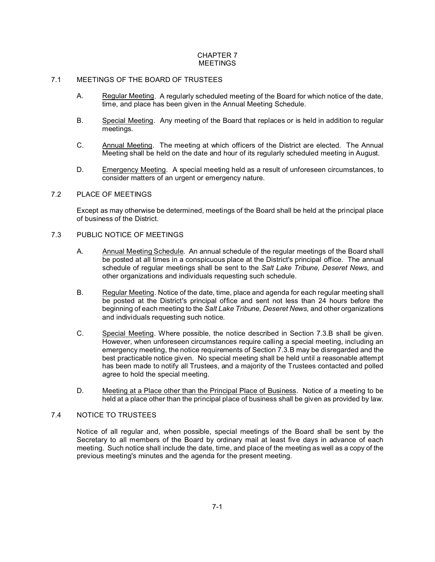# CHAPTER 7 **MEETINGS**

# 7.1 MEETINGS OF THE BOARD OF TRUSTEES

- A. Regular Meeting. A regularly scheduled meeting of the Board for which notice of the date, time, and place has been given in the Annual Meeting Schedule.
- B. Special Meeting. Any meeting of the Board that replaces or is held in addition to regular meetings.
- C. Annual Meeting. The meeting at which officers of the District are elected. The Annual Meeting shall be held on the date and hour of its regularly scheduled meeting in August.
- D. Emergency Meeting. A special meeting held as a result of unforeseen circumstances, to consider matters of an urgent or emergency nature.

# 7.2 PLACE OF MEETINGS

Except as may otherwise be determined, meetings of the Board shall be held at the principal place of business of the District.

# 7.3 PUBLIC NOTICE OF MEETINGS

- A. Annual Meeting Schedule. An annual schedule of the regular meetings of the Board shall be posted at all times in a conspicuous place at the District's principal office. The annual schedule of regular meetings shall be sent to the *Salt Lake Tribune, Deseret News,* and other organizations and individuals requesting such schedule.
- B. Regular Meeting. Notice of the date, time, place and agenda for each regular meeting shall be posted at the District's principal office and sent not less than 24 hours before the beginning of each meeting to the *Salt Lake Tribune, Deseret News,* and other organizations and individuals requesting such notice.
- C. Special Meeting. Where possible, the notice described in Section 7.3.B shall be given. However, when unforeseen circumstances require calling a special meeting, including an emergency meeting, the notice requirements of Section 7.3.B may be disregarded and the best practicable notice given. No special meeting shall be held until a reasonable attempt has been made to notify all Trustees, and a majority of the Trustees contacted and polled agree to hold the special meeting.
- D. Meeting at a Place other than the Principal Place of Business. Notice of a meeting to be held at a place other than the principal place of business shall be given as provided by law.

# 7.4 NOTICE TO TRUSTEES

Notice of all regular and, when possible, special meetings of the Board shall be sent by the Secretary to all members of the Board by ordinary mail at least five days in advance of each meeting. Such notice shall include the date, time, and place of the meeting as well as a copy of the previous meeting's minutes and the agenda for the present meeting.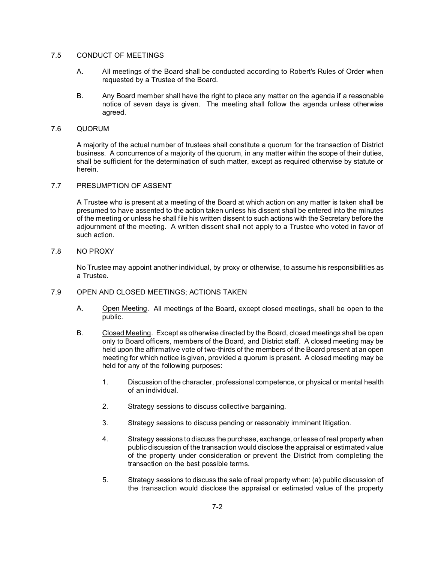# 7.5 CONDUCT OF MEETINGS

- A. All meetings of the Board shall be conducted according to Robert's Rules of Order when requested by a Trustee of the Board.
- B. Any Board member shall have the right to place any matter on the agenda if a reasonable notice of seven days is given. The meeting shall follow the agenda unless otherwise agreed.

# 7.6 QUORUM

A majority of the actual number of trustees shall constitute a quorum for the transaction of District business. A concurrence of a majority of the quorum, in any matter within the scope of their duties, shall be sufficient for the determination of such matter, except as required otherwise by statute or herein.

#### 7.7 PRESUMPTION OF ASSENT

A Trustee who is present at a meeting of the Board at which action on any matter is taken shall be presumed to have assented to the action taken unless his dissent shall be entered into the minutes of the meeting or unless he shall file his written dissent to such actions with the Secretary before the adjournment of the meeting. A written dissent shall not apply to a Trustee who voted in favor of such action.

#### 7.8 NO PROXY

No Trustee may appoint another individual, by proxy or otherwise, to assume his responsibilities as a Trustee.

# 7.9 OPEN AND CLOSED MEETINGS; ACTIONS TAKEN

- A. Open Meeting. All meetings of the Board, except closed meetings, shall be open to the public.
- B. Closed Meeting. Except as otherwise directed by the Board, closed meetings shall be open only to Board officers, members of the Board, and District staff. A closed meeting may be held upon the affirmative vote of two-thirds of the members of the Board present at an open meeting for which notice is given, provided a quorum is present. A closed meeting may be held for any of the following purposes:
	- 1. Discussion of the character, professional competence, or physical or mental health of an individual.
	- 2. Strategy sessions to discuss collective bargaining.
	- 3. Strategy sessions to discuss pending or reasonably imminent litigation.
	- 4. Strategy sessions to discuss the purchase, exchange, or lease of real property when public discussion of the transaction would disclose the appraisal or estimated value of the property under consideration or prevent the District from completing the transaction on the best possible terms.
	- 5. Strategy sessions to discuss the sale of real property when: (a) public discussion of the transaction would disclose the appraisal or estimated value of the property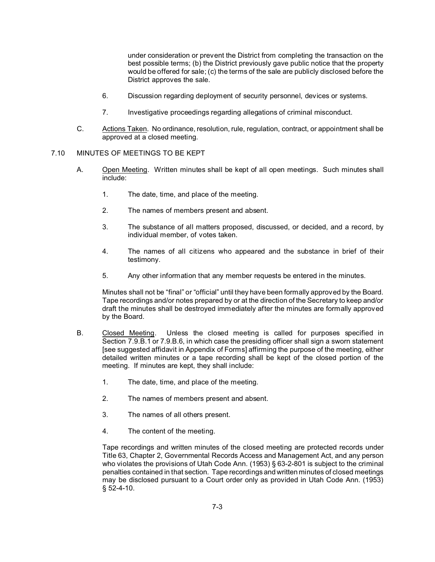under consideration or prevent the District from completing the transaction on the best possible terms; (b) the District previously gave public notice that the property would be offered for sale; (c) the terms of the sale are publicly disclosed before the District approves the sale.

- 6. Discussion regarding deployment of security personnel, devices or systems.
- 7. Investigative proceedings regarding allegations of criminal misconduct.
- C. Actions Taken. No ordinance, resolution, rule, regulation, contract, or appointment shall be approved at a closed meeting.

# 7.10 MINUTES OF MEETINGS TO BE KEPT

- A. Open Meeting. Written minutes shall be kept of all open meetings. Such minutes shall include:
	- 1. The date, time, and place of the meeting.
	- 2. The names of members present and absent.
	- 3. The substance of all matters proposed, discussed, or decided, and a record, by individual member, of votes taken.
	- 4. The names of all citizens who appeared and the substance in brief of their testimony.
	- 5. Any other information that any member requests be entered in the minutes.

Minutes shall not be "final" or "official" until they have been formally approved by the Board. Tape recordings and/or notes prepared by or at the direction of the Secretary to keep and/or draft the minutes shall be destroyed immediately after the minutes are formally approved by the Board.

- B. Closed Meeting. Unless the closed meeting is called for purposes specified in Section 7.9.B.1 or 7.9.B.6, in which case the presiding officer shall sign a sworn statement [see suggested affidavit in Appendix of Forms] affirming the purpose of the meeting, either detailed written minutes or a tape recording shall be kept of the closed portion of the meeting. If minutes are kept, they shall include:
	- 1. The date, time, and place of the meeting.
	- 2. The names of members present and absent.
	- 3. The names of all others present.
	- 4. The content of the meeting.

Tape recordings and written minutes of the closed meeting are protected records under Title 63, Chapter 2, Governmental Records Access and Management Act, and any person who violates the provisions of Utah Code Ann. (1953) § 63-2-801 is subject to the criminal penalties contained in that section. Tape recordings and written minutes of closed meetings may be disclosed pursuant to a Court order only as provided in Utah Code Ann. (1953) § 52-4-10.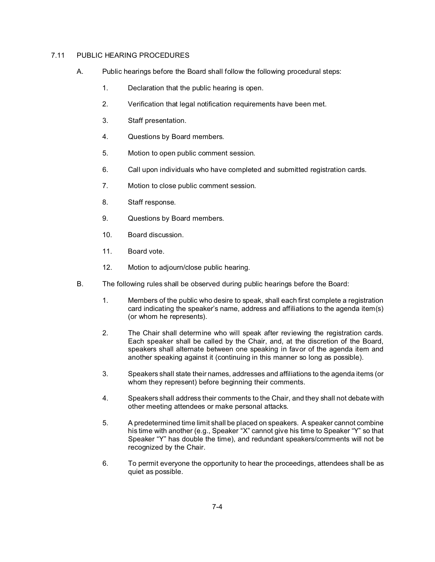# 7.11 PUBLIC HEARING PROCEDURES

- A. Public hearings before the Board shall follow the following procedural steps:
	- 1. Declaration that the public hearing is open.
	- 2. Verification that legal notification requirements have been met.
	- 3. Staff presentation.
	- 4. Questions by Board members.
	- 5. Motion to open public comment session.
	- 6. Call upon individuals who have completed and submitted registration cards.
	- 7. Motion to close public comment session.
	- 8. Staff response.
	- 9. Questions by Board members.
	- 10. Board discussion.
	- 11. Board vote.
	- 12. Motion to adjourn/close public hearing.
- B. The following rules shall be observed during public hearings before the Board:
	- 1. Members of the public who desire to speak, shall each first complete a registration card indicating the speaker's name, address and affiliations to the agenda item(s) (or whom he represents).
	- 2. The Chair shall determine who will speak after reviewing the registration cards. Each speaker shall be called by the Chair, and, at the discretion of the Board, speakers shall alternate between one speaking in favor of the agenda item and another speaking against it (continuing in this manner so long as possible).
	- 3. Speakers shall state their names, addresses and affiliations to the agenda items (or whom they represent) before beginning their comments.
	- 4. Speakers shall address their comments to the Chair, and they shall not debate with other meeting attendees or make personal attacks.
	- 5. A predetermined time limit shall be placed on speakers. A speaker cannot combine his time with another (e.g., Speaker "X" cannot give his time to Speaker "Y" so that Speaker "Y" has double the time), and redundant speakers/comments will not be recognized by the Chair.
	- 6. To permit everyone the opportunity to hear the proceedings, attendees shall be as quiet as possible.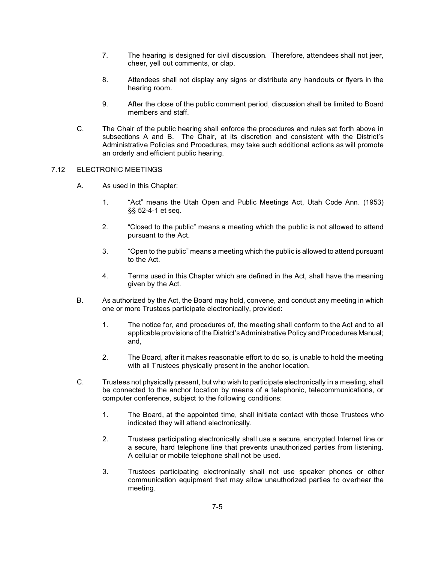- 7. The hearing is designed for civil discussion. Therefore, attendees shall not jeer, cheer, yell out comments, or clap.
- 8. Attendees shall not display any signs or distribute any handouts or flyers in the hearing room.
- 9. After the close of the public comment period, discussion shall be limited to Board members and staff.
- C. The Chair of the public hearing shall enforce the procedures and rules set forth above in subsections A and B. The Chair, at its discretion and consistent with the District's Administrative Policies and Procedures, may take such additional actions as will promote an orderly and efficient public hearing.

# 7.12 ELECTRONIC MEETINGS

- A. As used in this Chapter:
	- 1. "Act" means the Utah Open and Public Meetings Act, Utah Code Ann. (1953) §§ 52-4-1 et seq.
	- 2. "Closed to the public" means a meeting which the public is not allowed to attend pursuant to the Act.
	- 3. "Open to the public" means a meeting which the public is allowed to attend pursuant to the Act.
	- 4. Terms used in this Chapter which are defined in the Act, shall have the meaning given by the Act.
- B. As authorized by the Act, the Board may hold, convene, and conduct any meeting in which one or more Trustees participate electronically, provided:
	- 1. The notice for, and procedures of, the meeting shall conform to the Act and to all applicable provisions of the District's Administrative Policy and Procedures Manual; and,
	- 2. The Board, after it makes reasonable effort to do so, is unable to hold the meeting with all Trustees physically present in the anchor location.
- C. Trustees not physically present, but who wish to participate electronically in a meeting, shall be connected to the anchor location by means of a telephonic, telecommunications, or computer conference, subject to the following conditions:
	- 1. The Board, at the appointed time, shall initiate contact with those Trustees who indicated they will attend electronically.
	- 2. Trustees participating electronically shall use a secure, encrypted Internet line or a secure, hard telephone line that prevents unauthorized parties from listening. A cellular or mobile telephone shall not be used.
	- 3. Trustees participating electronically shall not use speaker phones or other communication equipment that may allow unauthorized parties to overhear the meeting.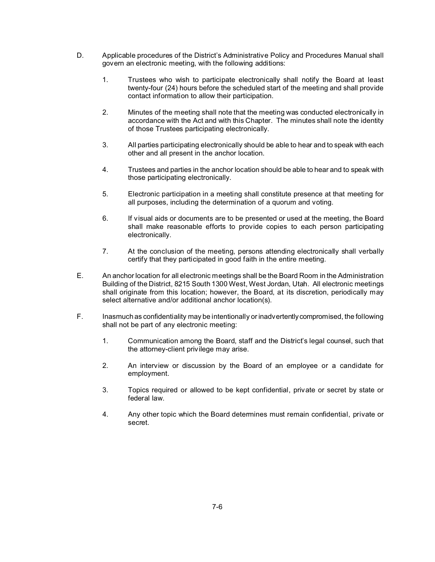- D. Applicable procedures of the District's Administrative Policy and Procedures Manual shall govern an electronic meeting, with the following additions:
	- 1. Trustees who wish to participate electronically shall notify the Board at least twenty-four (24) hours before the scheduled start of the meeting and shall provide contact information to allow their participation.
	- 2. Minutes of the meeting shall note that the meeting was conducted electronically in accordance with the Act and with this Chapter. The minutes shall note the identity of those Trustees participating electronically.
	- 3. All parties participating electronically should be able to hear and to speak with each other and all present in the anchor location.
	- 4. Trustees and parties in the anchor location should be able to hear and to speak with those participating electronically.
	- 5. Electronic participation in a meeting shall constitute presence at that meeting for all purposes, including the determination of a quorum and voting.
	- 6. If visual aids or documents are to be presented or used at the meeting, the Board shall make reasonable efforts to provide copies to each person participating electronically.
	- 7. At the conclusion of the meeting, persons attending electronically shall verbally certify that they participated in good faith in the entire meeting.
- E. An anchor location for all electronic meetings shall be the Board Room in the Administration Building of the District, 8215 South 1300 West, West Jordan, Utah. All electronic meetings shall originate from this location; however, the Board, at its discretion, periodically may select alternative and/or additional anchor location(s).
- F. Inasmuch as confidentiality may be intentionally or inadvertently compromised, the following shall not be part of any electronic meeting:
	- 1. Communication among the Board, staff and the District's legal counsel, such that the attorney-client privilege may arise.
	- 2. An interview or discussion by the Board of an employee or a candidate for employment.
	- 3. Topics required or allowed to be kept confidential, private or secret by state or federal law.
	- 4. Any other topic which the Board determines must remain confidential, private or secret.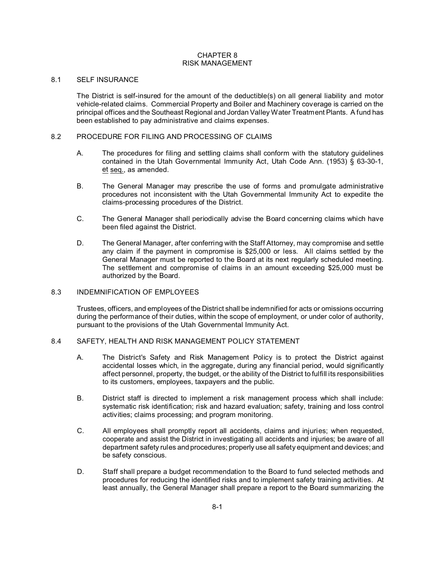# CHAPTER 8 RISK MANAGEMENT

#### 8.1 SELF INSURANCE

The District is self-insured for the amount of the deductible(s) on all general liability and motor vehicle-related claims. Commercial Property and Boiler and Machinery coverage is carried on the principal offices and the Southeast Regional and Jordan Valley Water Treatment Plants. A fund has been established to pay administrative and claims expenses.

# 8.2 PROCEDURE FOR FILING AND PROCESSING OF CLAIMS

- A. The procedures for filing and settling claims shall conform with the statutory guidelines contained in the Utah Governmental Immunity Act, Utah Code Ann. (1953) § 63-30-1, et seq., as amended.
- B. The General Manager may prescribe the use of forms and promulgate administrative procedures not inconsistent with the Utah Governmental Immunity Act to expedite the claims-processing procedures of the District.
- C. The General Manager shall periodically advise the Board concerning claims which have been filed against the District.
- D. The General Manager, after conferring with the Staff Attorney, may compromise and settle any claim if the payment in compromise is \$25,000 or less. All claims settled by the General Manager must be reported to the Board at its next regularly scheduled meeting. The settlement and compromise of claims in an amount exceeding \$25,000 must be authorized by the Board.

# 8.3 INDEMNIFICATION OF EMPLOYEES

Trustees, officers, and employees of the District shall be indemnified for acts or omissions occurring during the performance of their duties, within the scope of employment, or under color of authority, pursuant to the provisions of the Utah Governmental Immunity Act.

# 8.4 SAFETY, HEALTH AND RISK MANAGEMENT POLICY STATEMENT

- A. The District's Safety and Risk Management Policy is to protect the District against accidental losses which, in the aggregate, during any financial period, would significantly affect personnel, property, the budget, or the ability of the District to fulfill its responsibilities to its customers, employees, taxpayers and the public.
- B. District staff is directed to implement a risk management process which shall include: systematic risk identification; risk and hazard evaluation; safety, training and loss control activities; claims processing; and program monitoring.
- C. All employees shall promptly report all accidents, claims and injuries; when requested, cooperate and assist the District in investigating all accidents and injuries; be aware of all department safety rules and procedures; properly use all safety equipment and devices; and be safety conscious.
- D. Staff shall prepare a budget recommendation to the Board to fund selected methods and procedures for reducing the identified risks and to implement safety training activities. At least annually, the General Manager shall prepare a report to the Board summarizing the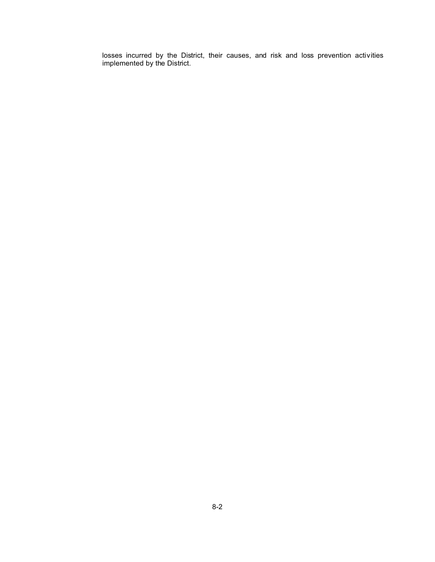losses incurred by the District, their causes, and risk and loss prevention activities implemented by the District.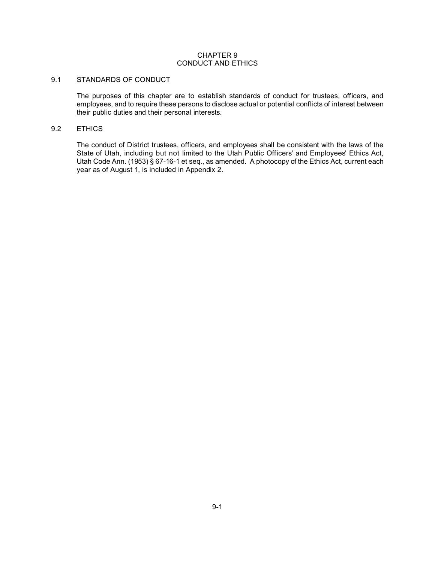# CHAPTER 9 CONDUCT AND ETHICS

#### 9.1 STANDARDS OF CONDUCT

The purposes of this chapter are to establish standards of conduct for trustees, officers, and employees, and to require these persons to disclose actual or potential conflicts of interest between their public duties and their personal interests.

# 9.2 ETHICS

The conduct of District trustees, officers, and employees shall be consistent with the laws of the State of Utah, including but not limited to the Utah Public Officers' and Employees' Ethics Act, Utah Code Ann. (1953) § 67-16-1 et seq., as amended. A photocopy of the Ethics Act, current each year as of August 1, is included in Appendix 2.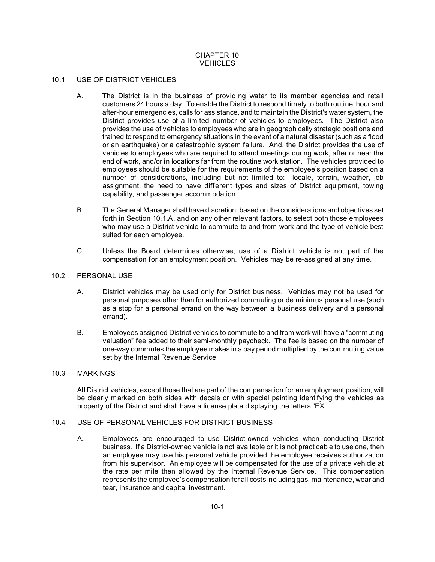# CHAPTER 10 **VEHICLES**

# 10.1 USE OF DISTRICT VEHICLES

- A. The District is in the business of providing water to its member agencies and retail customers 24 hours a day. To enable the District to respond timely to both routine hour and after-hour emergencies, calls for assistance, and to maintain the District's water system, the District provides use of a limited number of vehicles to employees. The District also provides the use of vehicles to employees who are in geographically strategic positions and trained to respond to emergency situations in the event of a natural disaster (such as a flood or an earthquake) or a catastrophic system failure. And, the District provides the use of vehicles to employees who are required to attend meetings during work, after or near the end of work, and/or in locations far from the routine work station. The vehicles provided to employees should be suitable for the requirements of the employee's position based on a number of considerations, including but not limited to: locale, terrain, weather, job assignment, the need to have different types and sizes of District equipment, towing capability, and passenger accommodation.
- B. The General Manager shall have discretion, based on the considerations and objectives set forth in Section 10.1.A. and on any other relevant factors, to select both those employees who may use a District vehicle to commute to and from work and the type of vehicle best suited for each employee.
- C. Unless the Board determines otherwise, use of a District vehicle is not part of the compensation for an employment position. Vehicles may be re-assigned at any time.

# 10.2 PERSONAL USE

- A. District vehicles may be used only for District business. Vehicles may not be used for personal purposes other than for authorized commuting or de minimus personal use (such as a stop for a personal errand on the way between a business delivery and a personal errand).
- B. Employees assigned District vehicles to commute to and from work will have a "commuting valuation" fee added to their semi-monthly paycheck. The fee is based on the number of one-way commutes the employee makes in a pay period multiplied by the commuting value set by the Internal Revenue Service.

#### 10.3 MARKINGS

All District vehicles, except those that are part of the compensation for an employment position, will be clearly marked on both sides with decals or with special painting identifying the vehicles as property of the District and shall have a license plate displaying the letters "EX."

# 10.4 USE OF PERSONAL VEHICLES FOR DISTRICT BUSINESS

A. Employees are encouraged to use District-owned vehicles when conducting District business. If a District-owned vehicle is not available or it is not practicable to use one, then an employee may use his personal vehicle provided the employee receives authorization from his supervisor. An employee will be compensated for the use of a private vehicle at the rate per mile then allowed by the Internal Revenue Service. This compensation represents the employee's compensation for all costs including gas, maintenance, wear and tear, insurance and capital investment.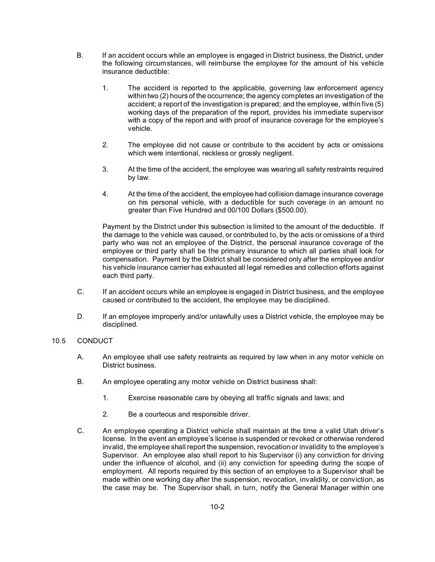- B. If an accident occurs while an employee is engaged in District business, the District, under the following circumstances, will reimburse the employee for the amount of his vehicle insurance deductible:
	- 1. The accident is reported to the applicable, governing law enforcement agency within two (2) hours of the occurrence; the agency completes an investigation of the accident; a report of the investigation is prepared; and the employee, within five (5) working days of the preparation of the report, provides his immediate supervisor with a copy of the report and with proof of insurance coverage for the employee's vehicle.
	- 2. The employee did not cause or contribute to the accident by acts or omissions which were intentional, reckless or grossly negligent.
	- 3. At the time of the accident, the employee was wearing all safety restraints required by law.
	- 4. At the time of the accident, the employee had collision damage insurance coverage on his personal vehicle, with a deductible for such coverage in an amount no greater than Five Hundred and 00/100 Dollars (\$500.00).

Payment by the District under this subsection is limited to the amount of the deductible. If the damage to the vehicle was caused, or contributed to, by the acts or omissions of a third party who was not an employee of the District, the personal insurance coverage of the employee or third party shall be the primary insurance to which all parties shall look for compensation. Payment by the District shall be considered only after the employee and/or his vehicle insurance carrier has exhausted all legal remedies and collection efforts against each third party.

- C. If an accident occurs while an employee is engaged in District business, and the employee caused or contributed to the accident, the employee may be disciplined.
- D. If an employee improperly and/or unlawfully uses a District vehicle, the employee may be disciplined.

# 10.5 CONDUCT

- A. An employee shall use safety restraints as required by law when in any motor vehicle on District business.
- B. An employee operating any motor vehicle on District business shall:
	- 1. Exercise reasonable care by obeying all traffic signals and laws; and
	- 2. Be a courteous and responsible driver.
- C. An employee operating a District vehicle shall maintain at the time a valid Utah driver's license. In the event an employee's license is suspended or revoked or otherwise rendered invalid, the employee shall report the suspension, revocation or invalidity to the employee's Supervisor. An employee also shall report to his Supervisor (i) any conviction for driving under the influence of alcohol, and (ii) any conviction for speeding during the scope of employment. All reports required by this section of an employee to a Supervisor shall be made within one working day after the suspension, revocation, invalidity, or conviction, as the case may be. The Supervisor shall, in turn, notify the General Manager within one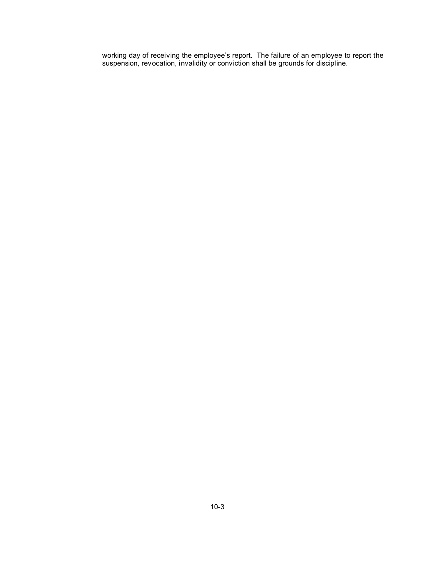working day of receiving the employee's report. The failure of an employee to report the suspension, revocation, invalidity or conviction shall be grounds for discipline.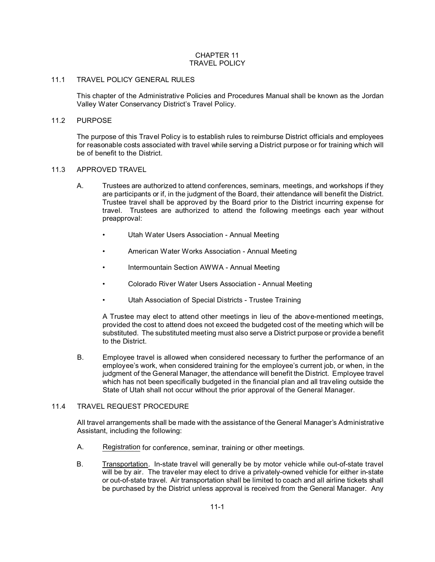# CHAPTER 11 TRAVEL POLICY

# 11.1 TRAVEL POLICY GENERAL RULES

This chapter of the Administrative Policies and Procedures Manual shall be known as the Jordan Valley Water Conservancy District's Travel Policy.

# 11.2 PURPOSE

The purpose of this Travel Policy is to establish rules to reimburse District officials and employees for reasonable costs associated with travel while serving a District purpose or for training which will be of benefit to the District.

# 11.3 APPROVED TRAVEL

- A. Trustees are authorized to attend conferences, seminars, meetings, and workshops if they are participants or if, in the judgment of the Board, their attendance will benefit the District. Trustee travel shall be approved by the Board prior to the District incurring expense for travel. Trustees are authorized to attend the following meetings each year without preapproval:
	- Utah Water Users Association Annual Meeting
	- American Water Works Association Annual Meeting
	- Intermountain Section AWWA Annual Meeting
	- Colorado River Water Users Association Annual Meeting
	- Utah Association of Special Districts Trustee Training

A Trustee may elect to attend other meetings in lieu of the above-mentioned meetings, provided the cost to attend does not exceed the budgeted cost of the meeting which will be substituted. The substituted meeting must also serve a District purpose or provide a benefit to the District.

B. Employee travel is allowed when considered necessary to further the performance of an employee's work, when considered training for the employee's current job, or when, in the judgment of the General Manager, the attendance will benefit the District. Employee travel which has not been specifically budgeted in the financial plan and all traveling outside the State of Utah shall not occur without the prior approval of the General Manager.

# 11.4 TRAVEL REQUEST PROCEDURE

All travel arrangements shall be made with the assistance of the General Manager's Administrative Assistant, including the following:

- A. Registration for conference, seminar, training or other meetings.
- B. Transportation. In-state travel will generally be by motor vehicle while out-of-state travel will be by air. The traveler may elect to drive a privately-owned vehicle for either in-state or out-of-state travel. Air transportation shall be limited to coach and all airline tickets shall be purchased by the District unless approval is received from the General Manager. Any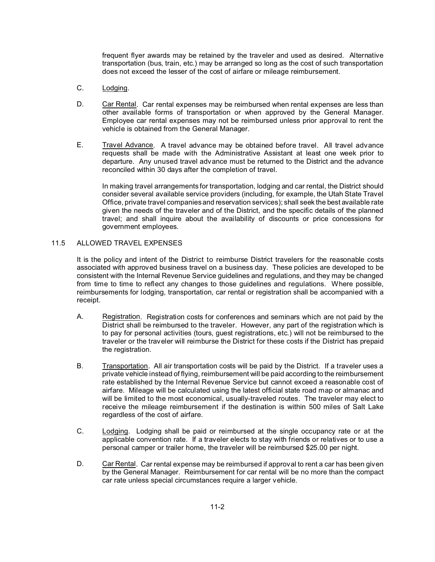frequent flyer awards may be retained by the traveler and used as desired. Alternative transportation (bus, train, etc.) may be arranged so long as the cost of such transportation does not exceed the lesser of the cost of airfare or mileage reimbursement.

- C. Lodging.
- D. Car Rental. Car rental expenses may be reimbursed when rental expenses are less than other available forms of transportation or when approved by the General Manager. Employee car rental expenses may not be reimbursed unless prior approval to rent the vehicle is obtained from the General Manager.
- E. Travel Advance. A travel advance may be obtained before travel. All travel advance requests shall be made with the Administrative Assistant at least one week prior to departure. Any unused travel advance must be returned to the District and the advance reconciled within 30 days after the completion of travel.

In making travel arrangements for transportation, lodging and car rental, the District should consider several available service providers (including, for example, the Utah State Travel Office, private travel companies and reservation services); shall seek the best available rate given the needs of the traveler and of the District, and the specific details of the planned travel; and shall inquire about the availability of discounts or price concessions for government employees.

# 11.5 ALLOWED TRAVEL EXPENSES

It is the policy and intent of the District to reimburse District travelers for the reasonable costs associated with approved business travel on a business day. These policies are developed to be consistent with the Internal Revenue Service guidelines and regulations, and they may be changed from time to time to reflect any changes to those guidelines and regulations. Where possible, reimbursements for lodging, transportation, car rental or registration shall be accompanied with a receipt.

- A. Registration. Registration costs for conferences and seminars which are not paid by the District shall be reimbursed to the traveler. However, any part of the registration which is to pay for personal activities (tours, guest registrations, etc.) will not be reimbursed to the traveler or the traveler will reimburse the District for these costs if the District has prepaid the registration.
- B. Transportation. All air transportation costs will be paid by the District. If a traveler uses a private vehicle instead of flying, reimbursement will be paid according to the reimbursement rate established by the Internal Revenue Service but cannot exceed a reasonable cost of airfare. Mileage will be calculated using the latest official state road map or almanac and will be limited to the most economical, usually-traveled routes. The traveler may elect to receive the mileage reimbursement if the destination is within 500 miles of Salt Lake regardless of the cost of airfare.
- C. Lodging. Lodging shall be paid or reimbursed at the single occupancy rate or at the applicable convention rate. If a traveler elects to stay with friends or relatives or to use a personal camper or trailer home, the traveler will be reimbursed \$25.00 per night.
- D. Car Rental. Car rental expense may be reimbursed if approval to rent a car has been given by the General Manager. Reimbursement for car rental will be no more than the compact car rate unless special circumstances require a larger vehicle.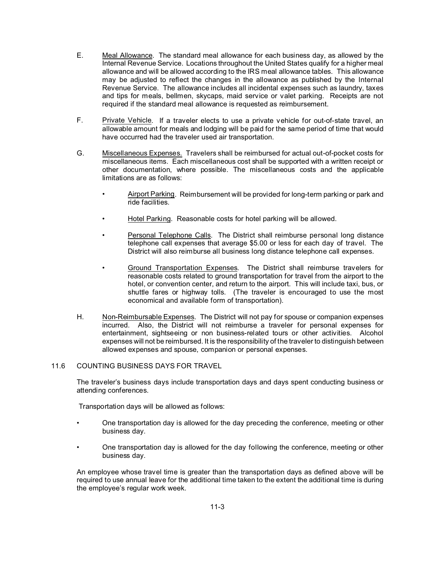- E. Meal Allowance. The standard meal allowance for each business day, as allowed by the Internal Revenue Service. Locations throughout the United States qualify for a higher meal allowance and will be allowed according to the IRS meal allowance tables. This allowance may be adjusted to reflect the changes in the allowance as published by the Internal Revenue Service. The allowance includes all incidental expenses such as laundry, taxes and tips for meals, bellmen, skycaps, maid service or valet parking. Receipts are not required if the standard meal allowance is requested as reimbursement.
- F. Private Vehicle. If a traveler elects to use a private vehicle for out-of-state travel, an allowable amount for meals and lodging will be paid for the same period of time that would have occurred had the traveler used air transportation.
- G. Miscellaneous Expenses. Travelers shall be reimbursed for actual out-of-pocket costs for miscellaneous items. Each miscellaneous cost shall be supported with a written receipt or other documentation, where possible. The miscellaneous costs and the applicable limitations are as follows:
	- Airport Parking. Reimbursement will be provided for long-term parking or park and ride facilities.
	- Hotel Parking. Reasonable costs for hotel parking will be allowed.
	- Personal Telephone Calls. The District shall reimburse personal long distance telephone call expenses that average \$5.00 or less for each day of travel. The District will also reimburse all business long distance telephone call expenses.
	- Ground Transportation Expenses. The District shall reimburse travelers for reasonable costs related to ground transportation for travel from the airport to the hotel, or convention center, and return to the airport. This will include taxi, bus, or shuttle fares or highway tolls. (The traveler is encouraged to use the most economical and available form of transportation).
- H. Non-Reimbursable Expenses. The District will not pay for spouse or companion expenses incurred. Also, the District will not reimburse a traveler for personal expenses for entertainment, sightseeing or non business-related tours or other activities. Alcohol expenses will not be reimbursed. It is the responsibility of the traveler to distinguish between allowed expenses and spouse, companion or personal expenses.

# 11.6 COUNTING BUSINESS DAYS FOR TRAVEL

The traveler's business days include transportation days and days spent conducting business or attending conferences.

Transportation days will be allowed as follows:

- One transportation day is allowed for the day preceding the conference, meeting or other business day.
- One transportation day is allowed for the day following the conference, meeting or other business day.

An employee whose travel time is greater than the transportation days as defined above will be required to use annual leave for the additional time taken to the extent the additional time is during the employee's regular work week.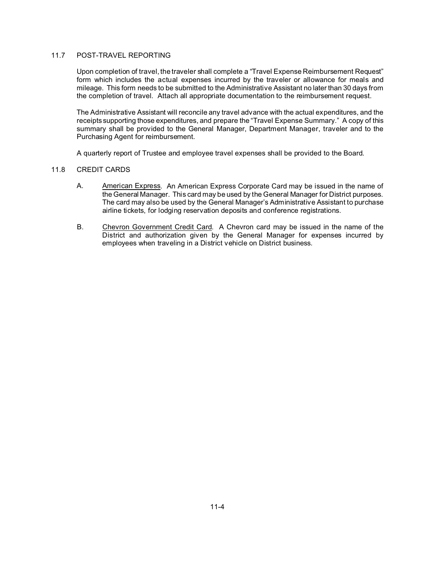# 11.7 POST-TRAVEL REPORTING

Upon completion of travel, the traveler shall complete a "Travel Expense Reimbursement Request" form which includes the actual expenses incurred by the traveler or allowance for meals and mileage. This form needs to be submitted to the Administrative Assistant no later than 30 days from the completion of travel. Attach all appropriate documentation to the reimbursement request.

The Administrative Assistant will reconcile any travel advance with the actual expenditures, and the receipts supporting those expenditures, and prepare the "Travel Expense Summary." A copy of this summary shall be provided to the General Manager, Department Manager, traveler and to the Purchasing Agent for reimbursement.

A quarterly report of Trustee and employee travel expenses shall be provided to the Board.

# 11.8 CREDIT CARDS

- A. American Express. An American Express Corporate Card may be issued in the name of the General Manager. This card may be used by the General Manager for District purposes. The card may also be used by the General Manager's Administrative Assistant to purchase airline tickets, for lodging reservation deposits and conference registrations.
- B. Chevron Government Credit Card. A Chevron card may be issued in the name of the District and authorization given by the General Manager for expenses incurred by employees when traveling in a District vehicle on District business.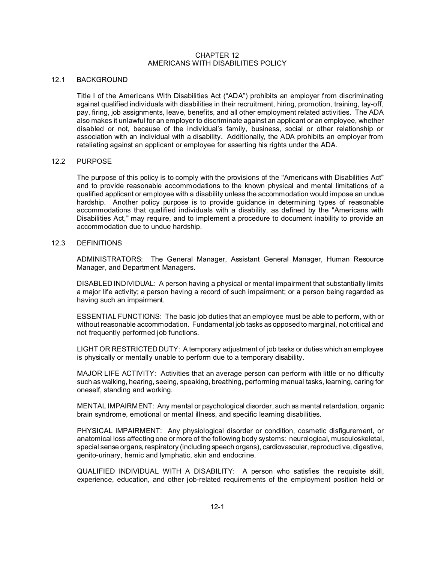# CHAPTER 12 AMERICANS WITH DISABILITIES POLICY

# 12.1 BACKGROUND

Title I of the Americans With Disabilities Act ("ADA") prohibits an employer from discriminating against qualified individuals with disabilities in their recruitment, hiring, promotion, training, lay-off, pay, firing, job assignments, leave, benefits, and all other employment related activities. The ADA also makes it unlawful for an employer to discriminate against an applicant or an employee, whether disabled or not, because of the individual's family, business, social or other relationship or association with an individual with a disability. Additionally, the ADA prohibits an employer from retaliating against an applicant or employee for asserting his rights under the ADA.

#### 12.2 PURPOSE

The purpose of this policy is to comply with the provisions of the "Americans with Disabilities Act" and to provide reasonable accommodations to the known physical and mental limitations of a qualified applicant or employee with a disability unless the accommodation would impose an undue hardship. Another policy purpose is to provide guidance in determining types of reasonable accommodations that qualified individuals with a disability, as defined by the "Americans with Disabilities Act," may require, and to implement a procedure to document inability to provide an accommodation due to undue hardship.

#### 12.3 DEFINITIONS

ADMINISTRATORS: The General Manager, Assistant General Manager, Human Resource Manager, and Department Managers.

DISABLED INDIVIDUAL: A person having a physical or mental impairment that substantially limits a major life activity; a person having a record of such impairment; or a person being regarded as having such an impairment.

ESSENTIAL FUNCTIONS: The basic job duties that an employee must be able to perform, with or without reasonable accommodation. Fundamental job tasks as opposed to marginal, not critical and not frequently performed job functions.

LIGHT OR RESTRICTED DUTY: A temporary adjustment of job tasks or duties which an employee is physically or mentally unable to perform due to a temporary disability.

MAJOR LIFE ACTIVITY: Activities that an average person can perform with little or no difficulty such as walking, hearing, seeing, speaking, breathing, performing manual tasks, learning, caring for oneself, standing and working.

MENTAL IMPAIRMENT: Any mental or psychological disorder, such as mental retardation, organic brain syndrome, emotional or mental illness, and specific learning disabilities.

PHYSICAL IMPAIRMENT: Any physiological disorder or condition, cosmetic disfigurement, or anatomical loss affecting one or more of the following body systems: neurological, musculoskeletal, special sense organs, respiratory (including speech organs), cardiovascular, reproductive, digestive, genito-urinary, hemic and lymphatic, skin and endocrine.

QUALIFIED INDIVIDUAL WITH A DISABILITY: A person who satisfies the requisite skill, experience, education, and other job-related requirements of the employment position held or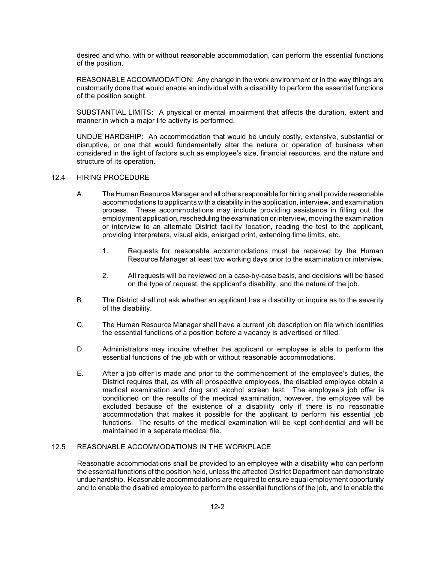desired and who, with or without reasonable accommodation, can perform the essential functions of the position.

REASONABLE ACCOMMODATION: Any change in the work environment or in the way things are customarily done that would enable an individual with a disability to perform the essential functions of the position sought.

SUBSTANTIAL LIMITS: A physical or mental impairment that affects the duration, extent and manner in which a major life activity is performed.

UNDUE HARDSHIP: An accommodation that would be unduly costly, extensive, substantial or disruptive, or one that would fundamentally alter the nature or operation of business when considered in the light of factors such as employee's size, financial resources, and the nature and structure of its operation.

# 12.4 HIRING PROCEDURE

- A. The Human Resource Manager and allothers responsible for hiring shall provide reasonable accommodations to applicants with a disability in the application, interview, and examination process. These accommodations may include providing assistance in filling out the employment application, rescheduling the examination or interview, moving the examination or interview to an alternate District facility location, reading the test to the applicant, providing interpreters, visual aids, enlarged print, extending time limits, etc.
	- 1. Requests for reasonable accommodations must be received by the Human Resource Manager at least two working days prior to the examination or interview.
	- 2. All requests will be reviewed on a case-by-case basis, and decisions will be based on the type of request, the applicant's disability, and the nature of the job.
- B. The District shall not ask whether an applicant has a disability or inquire as to the severity of the disability.
- C. The Human Resource Manager shall have a current job description on file which identifies the essential functions of a position before a vacancy is advertised or filled.
- D. Administrators may inquire whether the applicant or employee is able to perform the essential functions of the job with or without reasonable accommodations.
- E. After a job offer is made and prior to the commencement of the employee's duties, the District requires that, as with all prospective employees, the disabled employee obtain a medical examination and drug and alcohol screen test. The employee's job offer is conditioned on the results of the medical examination, however, the employee will be excluded because of the existence of a disability only if there is no reasonable accommodation that makes it possible for the applicant to perform his essential job functions. The results of the medical examination will be kept confidential and will be maintained in a separate medical file.

# 12.5 REASONABLE ACCOMMODATIONS IN THE WORKPLACE

Reasonable accommodations shall be provided to an employee with a disability who can perform the essential functions of the position held, unless the affected District Department can demonstrate undue hardship. Reasonable accommodations are required to ensure equal employment opportunity and to enable the disabled employee to perform the essential functions of the job, and to enable the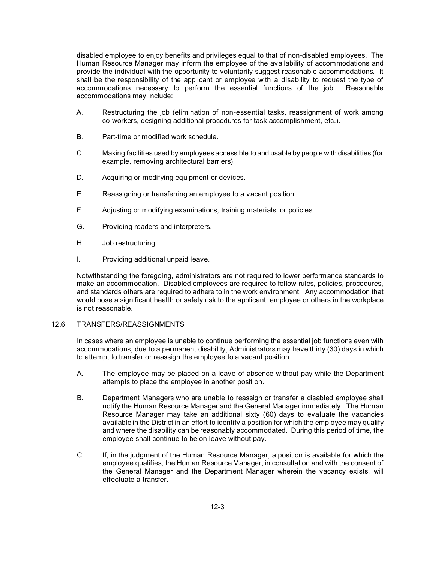disabled employee to enjoy benefits and privileges equal to that of non-disabled employees. The Human Resource Manager may inform the employee of the availability of accommodations and provide the individual with the opportunity to voluntarily suggest reasonable accommodations. It shall be the responsibility of the applicant or employee with a disability to request the type of accommodations necessary to perform the essential functions of the job. Reasonable accommodations may include:

- A. Restructuring the job (elimination of non-essential tasks, reassignment of work among co-workers, designing additional procedures for task accomplishment, etc.).
- B. Part-time or modified work schedule.
- C. Making facilities used by employees accessible to and usable by people with disabilities (for example, removing architectural barriers).
- D. Acquiring or modifying equipment or devices.
- E. Reassigning or transferring an employee to a vacant position.
- F. Adjusting or modifying examinations, training materials, or policies.
- G. Providing readers and interpreters.
- H. Job restructuring.
- I. Providing additional unpaid leave.

Notwithstanding the foregoing, administrators are not required to lower performance standards to make an accommodation. Disabled employees are required to follow rules, policies, procedures, and standards others are required to adhere to in the work environment. Any accommodation that would pose a significant health or safety risk to the applicant, employee or others in the workplace is not reasonable.

# 12.6 TRANSFERS/REASSIGNMENTS

In cases where an employee is unable to continue performing the essential job functions even with accommodations, due to a permanent disability, Administrators may have thirty (30) days in which to attempt to transfer or reassign the employee to a vacant position.

- A. The employee may be placed on a leave of absence without pay while the Department attempts to place the employee in another position.
- B. Department Managers who are unable to reassign or transfer a disabled employee shall notify the Human Resource Manager and the General Manager immediately. The Human Resource Manager may take an additional sixty (60) days to evaluate the vacancies available in the District in an effort to identify a position for which the employee may qualify and where the disability can be reasonably accommodated. During this period of time, the employee shall continue to be on leave without pay.
- C. If, in the judgment of the Human Resource Manager, a position is available for which the employee qualifies, the Human Resource Manager, in consultation and with the consent of the General Manager and the Department Manager wherein the vacancy exists, will effectuate a transfer.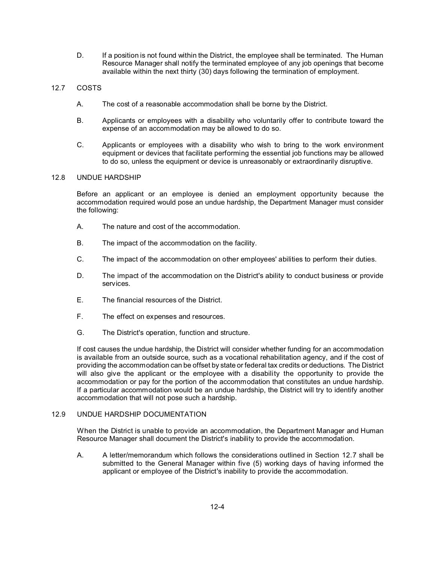D. If a position is not found within the District, the employee shall be terminated. The Human Resource Manager shall notify the terminated employee of any job openings that become available within the next thirty (30) days following the termination of employment.

# 12.7 COSTS

- A. The cost of a reasonable accommodation shall be borne by the District.
- B. Applicants or employees with a disability who voluntarily offer to contribute toward the expense of an accommodation may be allowed to do so.
- C. Applicants or employees with a disability who wish to bring to the work environment equipment or devices that facilitate performing the essential job functions may be allowed to do so, unless the equipment or device is unreasonably or extraordinarily disruptive.

# 12.8 UNDUE HARDSHIP

Before an applicant or an employee is denied an employment opportunity because the accommodation required would pose an undue hardship, the Department Manager must consider the following:

- A. The nature and cost of the accommodation.
- B. The impact of the accommodation on the facility.
- C. The impact of the accommodation on other employees' abilities to perform their duties.
- D. The impact of the accommodation on the District's ability to conduct business or provide services.
- E. The financial resources of the District.
- F. The effect on expenses and resources.
- G. The District's operation, function and structure.

If cost causes the undue hardship, the District will consider whether funding for an accommodation is available from an outside source, such as a vocational rehabilitation agency, and if the cost of providing the accommodation can be offset by state or federal tax credits or deductions. The District will also give the applicant or the employee with a disability the opportunity to provide the accommodation or pay for the portion of the accommodation that constitutes an undue hardship. If a particular accommodation would be an undue hardship, the District will try to identify another accommodation that will not pose such a hardship.

# 12.9 UNDUE HARDSHIP DOCUMENTATION

When the District is unable to provide an accommodation, the Department Manager and Human Resource Manager shall document the District's inability to provide the accommodation.

A. A letter/memorandum which follows the considerations outlined in Section 12.7 shall be submitted to the General Manager within five (5) working days of having informed the applicant or employee of the District's inability to provide the accommodation.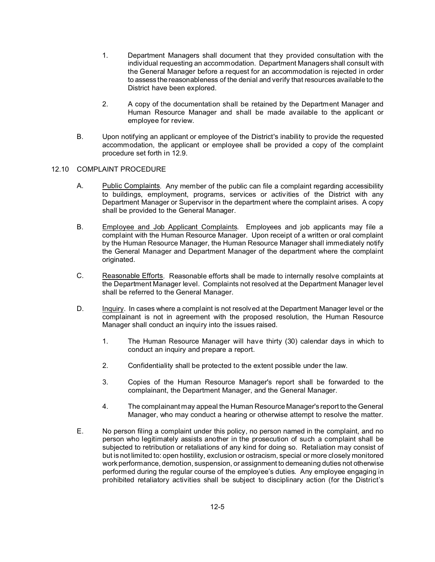- 1. Department Managers shall document that they provided consultation with the individual requesting an accommodation. Department Managers shall consult with the General Manager before a request for an accommodation is rejected in order to assess the reasonableness of the denial and verify that resources available to the District have been explored.
- 2. A copy of the documentation shall be retained by the Department Manager and Human Resource Manager and shall be made available to the applicant or employee for review.
- B. Upon notifying an applicant or employee of the District's inability to provide the requested accommodation, the applicant or employee shall be provided a copy of the complaint procedure set forth in 12.9.

# 12.10 COMPLAINT PROCEDURE

- A. Public Complaints. Any member of the public can file a complaint regarding accessibility to buildings, employment, programs, services or activities of the District with any Department Manager or Supervisor in the department where the complaint arises. A copy shall be provided to the General Manager.
- B. Employee and Job Applicant Complaints. Employees and job applicants may file a complaint with the Human Resource Manager. Upon receipt of a written or oral complaint by the Human Resource Manager, the Human Resource Manager shall immediately notify the General Manager and Department Manager of the department where the complaint originated.
- C. Reasonable Efforts. Reasonable efforts shall be made to internally resolve complaints at the Department Manager level. Complaints not resolved at the Department Manager level shall be referred to the General Manager.
- D. Inquiry. In cases where a complaint is not resolved at the Department Manager level or the complainant is not in agreement with the proposed resolution, the Human Resource Manager shall conduct an inquiry into the issues raised.
	- 1. The Human Resource Manager will have thirty (30) calendar days in which to conduct an inquiry and prepare a report.
	- 2. Confidentiality shall be protected to the extent possible under the law.
	- 3. Copies of the Human Resource Manager's report shall be forwarded to the complainant, the Department Manager, and the General Manager.
	- 4. The complainant may appeal the Human Resource Manager's report to the General Manager, who may conduct a hearing or otherwise attempt to resolve the matter.
- E. No person filing a complaint under this policy, no person named in the complaint, and no person who legitimately assists another in the prosecution of such a complaint shall be subjected to retribution or retaliations of any kind for doing so. Retaliation may consist of but is not limited to: open hostility, exclusion or ostracism, special or more closely monitored work performance, demotion, suspension, or assignment to demeaning duties not otherwise performed during the regular course of the employee's duties. Any employee engaging in prohibited retaliatory activities shall be subject to disciplinary action (for the District's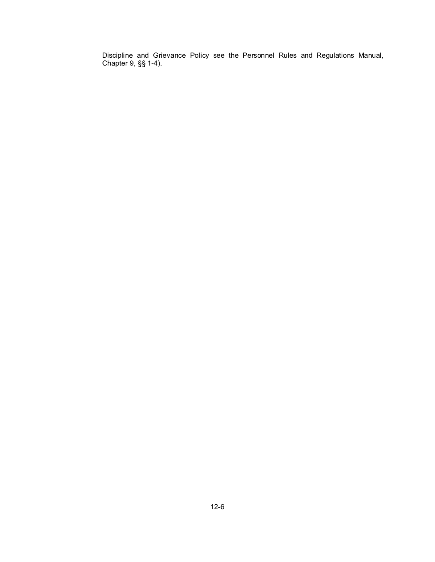Discipline and Grievance Policy see the Personnel Rules and Regulations Manual, Chapter 9, §§ 1-4).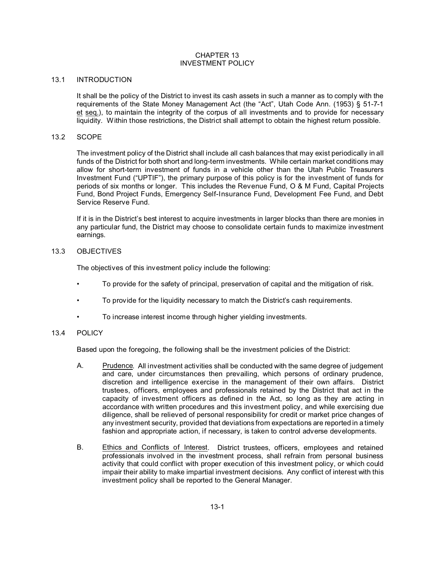# CHAPTER 13 INVESTMENT POLICY

#### 13.1 INTRODUCTION

It shall be the policy of the District to invest its cash assets in such a manner as to comply with the requirements of the State Money Management Act (the "Act", Utah Code Ann. (1953) § 51-7-1 et seq.), to maintain the integrity of the corpus of all investments and to provide for necessary liquidity. Within those restrictions, the District shall attempt to obtain the highest return possible.

#### 13.2 SCOPE

The investment policy of the District shall include all cash balances that may exist periodically in all funds of the District for both short and long-term investments. While certain market conditions may allow for short-term investment of funds in a vehicle other than the Utah Public Treasurers Investment Fund ("UPTIF"), the primary purpose of this policy is for the investment of funds for periods of six months or longer. This includes the Revenue Fund, O & M Fund, Capital Projects Fund, Bond Project Funds, Emergency Self-Insurance Fund, Development Fee Fund, and Debt Service Reserve Fund.

If it is in the District's best interest to acquire investments in larger blocks than there are monies in any particular fund, the District may choose to consolidate certain funds to maximize investment earnings.

#### 13.3 OBJECTIVES

The objectives of this investment policy include the following:

- To provide for the safety of principal, preservation of capital and the mitigation of risk.
- To provide for the liquidity necessary to match the District's cash requirements.
- To increase interest income through higher yielding investments.

# 13.4 POLICY

Based upon the foregoing, the following shall be the investment policies of the District:

- A. Prudence. All investment activities shall be conducted with the same degree of judgement and care, under circumstances then prevailing, which persons of ordinary prudence, discretion and intelligence exercise in the management of their own affairs. District trustees, officers, employees and professionals retained by the District that act in the capacity of investment officers as defined in the Act, so long as they are acting in accordance with written procedures and this investment policy, and while exercising due diligence, shall be relieved of personal responsibility for credit or market price changes of any investment security, provided that deviations from expectations are reported in a timely fashion and appropriate action, if necessary, is taken to control adverse developments.
- B. Ethics and Conflicts of Interest. District trustees, officers, employees and retained professionals involved in the investment process, shall refrain from personal business activity that could conflict with proper execution of this investment policy, or which could impair their ability to make impartial investment decisions. Any conflict of interest with this investment policy shall be reported to the General Manager.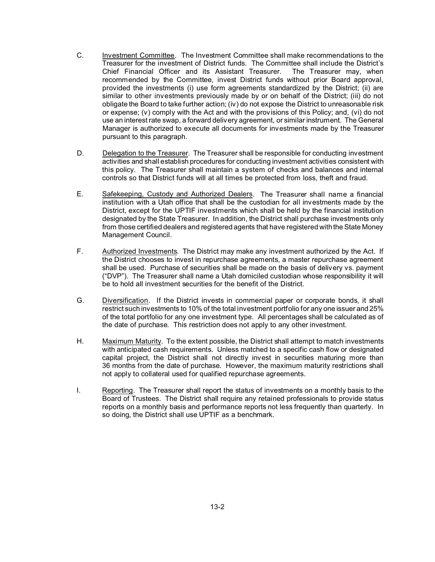- C. Investment Committee. The Investment Committee shall make recommendations to the Treasurer for the investment of District funds. The Committee shall include the District's Chief Financial Officer and its Assistant Treasurer. The Treasurer may, when recommended by the Committee, invest District funds without prior Board approval, provided the investments (i) use form agreements standardized by the District; (ii) are similar to other investments previously made by or on behalf of the District; (iii) do not obligate the Board to take further action; (iv) do not expose the District to unreasonable risk or expense; (v) comply with the Act and with the provisions of this Policy; and, (vi) do not use an interest rate swap, a forward delivery agreement, or similar instrument. The General Manager is authorized to execute all documents for investments made by the Treasurer pursuant to this paragraph.
- D. Delegation to the Treasurer. The Treasurer shall be responsible for conducting investment activities and shall establish procedures for conducting investment activities consistent with this policy. The Treasurer shall maintain a system of checks and balances and internal controls so that District funds will at all times be protected from loss, theft and fraud.
- E. Safekeeping, Custody and Authorized Dealers. The Treasurer shall name a financial institution with a Utah office that shall be the custodian for all investments made by the District, except for the UPTIF investments which shall be held by the financial institution designated by the State Treasurer. In addition, the District shall purchase investments only from those certified dealers and registered agents that have registered with the State Money Management Council.
- F. Authorized Investments. The District may make any investment authorized by the Act. If the District chooses to invest in repurchase agreements, a master repurchase agreement shall be used. Purchase of securities shall be made on the basis of delivery vs. payment ("DVP"). The Treasurer shall name a Utah domiciled custodian whose responsibility it will be to hold all investment securities for the benefit of the District.
- G. Diversification. If the District invests in commercial paper or corporate bonds, it shall restrict such investments to 10% of the total investment portfolio for any one issuer and 25% of the total portfolio for any one investment type. All percentages shall be calculated as of the date of purchase. This restriction does not apply to any other investment.
- H. Maximum Maturity. To the extent possible, the District shall attempt to match investments with anticipated cash requirements. Unless matched to a specific cash flow or designated capital project, the District shall not directly invest in securities maturing more than 36 months from the date of purchase. However, the maximum maturity restrictions shall not apply to collateral used for qualified repurchase agreements.
- I. Reporting. The Treasurer shall report the status of investments on a monthly basis to the Board of Trustees. The District shall require any retained professionals to provide status reports on a monthly basis and performance reports not less frequently than quarterly. In so doing, the District shall use UPTIF as a benchmark.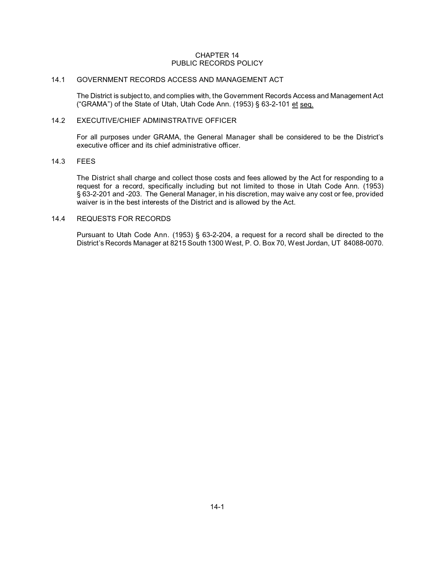# CHAPTER 14 PUBLIC RECORDS POLICY

# 14.1 GOVERNMENT RECORDS ACCESS AND MANAGEMENT ACT

The District is subject to, and complies with, the Government Records Access and Management Act ("GRAMA") of the State of Utah, Utah Code Ann. (1953) § 63-2-101 et seq.

#### 14.2 EXECUTIVE/CHIEF ADMINISTRATIVE OFFICER

For all purposes under GRAMA, the General Manager shall be considered to be the District's executive officer and its chief administrative officer.

# 14.3 FEES

The District shall charge and collect those costs and fees allowed by the Act for responding to a request for a record, specifically including but not limited to those in Utah Code Ann. (1953) § 63-2-201 and -203. The General Manager, in his discretion, may waive any cost or fee, provided waiver is in the best interests of the District and is allowed by the Act.

# 14.4 REQUESTS FOR RECORDS

Pursuant to Utah Code Ann. (1953) § 63-2-204, a request for a record shall be directed to the District's Records Manager at 8215 South 1300 West, P. O. Box 70, West Jordan, UT 84088-0070.